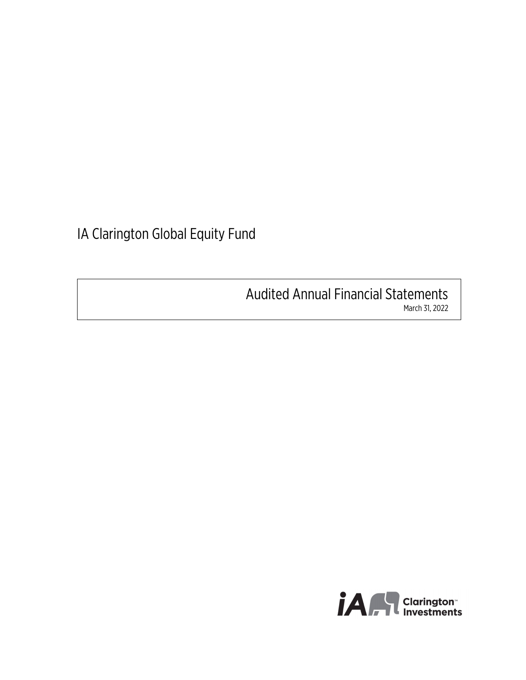**IA Clarington Global Equity Fund** 

## **Audited Annual Financial Statements March 31, 2022**

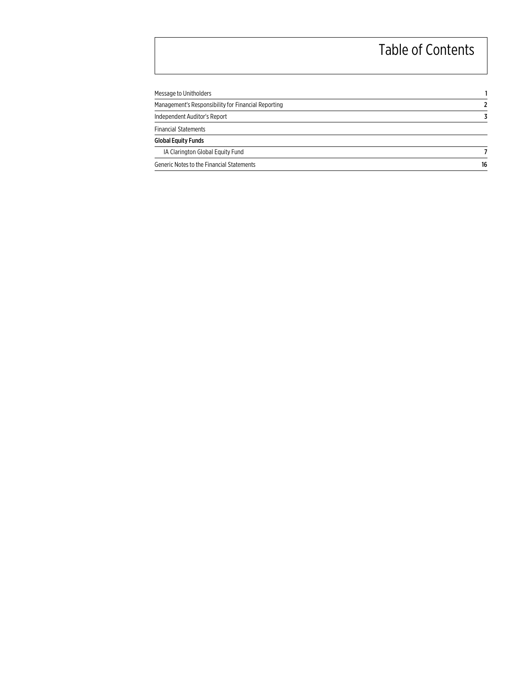# **Table of Contents**

| 16 |
|----|
|    |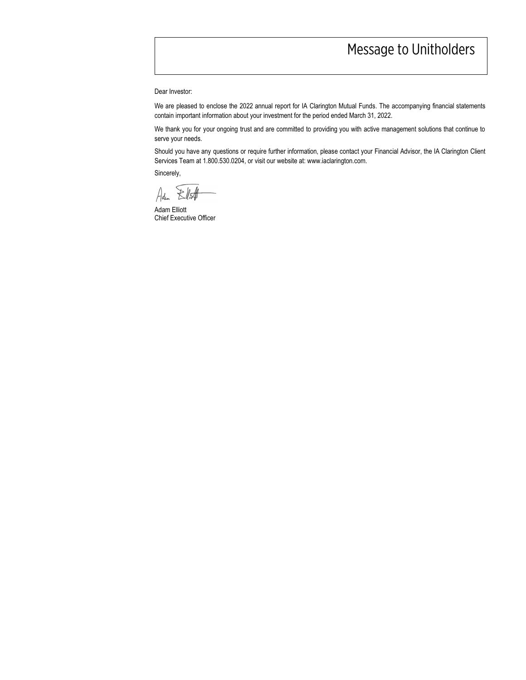## **Message to Unitholders**

**. Dear Investor:** 

We are pleased to enclose the 2022 annual report for IA Clarington Mutual Funds. The accompanying financial statements **contain important information about your investment for the period ended March 31, 2022.** 

**. We thank you for your ongoing trust and are committed to providing you with active management solutions that continue to serve your needs.** 

**Should you have any questions or require further information, please contact your Financial Advisor, the IA Clarington Client Services Team at 1.800.530.0204, or visit our website at: www.iaclarington.com.** 

**Sincerely,** 

Adam Ellett

**Adam Elliott Chief Executive Officer**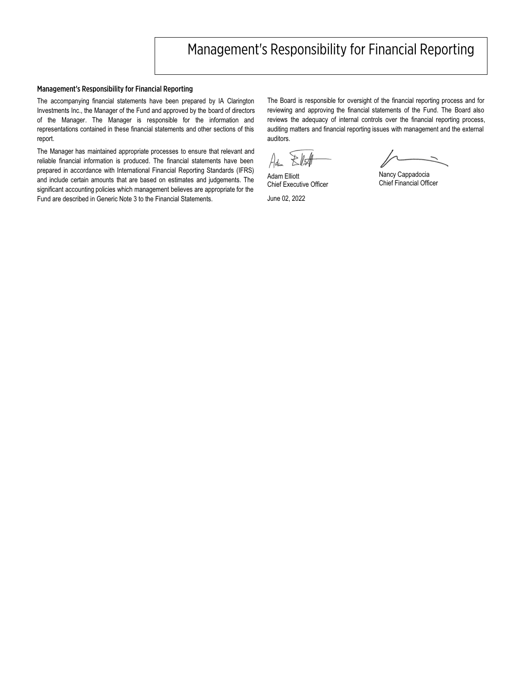## **. Management's Responsibility for Financial Reporting**

**The accompanying financial statements have been prepared by IA Clarington Investments Inc., the Manager of the Fund and approved by the board of directors of the Manager. The Manager is responsible for the information and representations contained in these financial statements and other sections of this report.** 

**The Manager has maintained appropriate processes to ensure that relevant and reliable financial information is produced. The financial statements have been prepared in accordance with International Financial Reporting Standards (IFRS) and include certain amounts that are based on estimates and judgements. The significant accounting policies which management believes are appropriate for the Fund are described in Generic Note 3 to the Financial Statements.** 

**The Board is responsible for oversight of the financial reporting process and for reviewing and approving the financial statements of the Fund. The Board also reviews the adequacy of internal controls over the financial reporting process, auditing matters and financial reporting issues with management and the external auditors.** 

Adam

**Adam Elliott Chief Executive Officer** 

**. June 02, 2022** 

**Nancy Cappadocia Chief Financial Officer**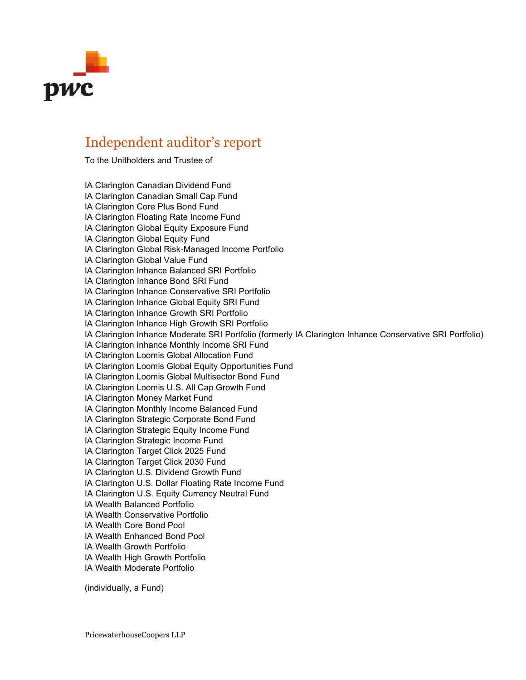

## **Independent auditor's report**

**To the Unitholders and Trustee of** 

**IA Clarington Canadian Dividend Fund IA Clarington Canadian Small Cap Fund IA Clarington Core Plus Bond Fund IA Clarington Floating Rate Income Fund IA Clarington Global Equity Exposure Fund IA Clarington Global Equity Fund IA Clarington Global Risk-Managed Income Portfolio IA Clarington Global Value Fund IA Clarington Inhance Balanced SRI Portfolio IA Clarington Inhance Bond SRI Fund IA Clarington Inhance Conservative SRI Portfolio IA Clarington Inhance Global Equity SRI Fund IA Clarington Inhance Growth SRI Portfolio IA Clarington Inhance High Growth SRI Portfolio IA Clarington Inhance Moderate SRI Portfolio (formerly IA Clarington Inhance Conservative SRI Portfolio) IA Clarington Inhance Monthly Income SRI Fund IA Clarington Loomis Global Allocation Fund IA Clarington Loomis Global Equity Opportunities Fund IA Clarington Loomis Global Multisector Bond Fund IA Clarington Loomis U.S. All Cap Growth Fund IA Clarington Money Market Fund IA Clarington Monthly Income Balanced Fund IA Clarington Strategic Corporate Bond Fund IA Clarington Strategic Equity Income Fund IA Clarington Strategic Income Fund IA Clarington Target Click 2025 Fund IA Clarington Target Click 2030 Fund IA Clarington U.S. Dividend Growth Fund IA Clarington U.S. Dollar Floating Rate Income Fund IA Clarington U.S. Equity Currency Neutral Fund IA Wealth Balanced Portfolio IA Wealth Conservative Portfolio IA Wealth Core Bond Pool IA Wealth Enhanced Bond Pool IA Wealth Growth Portfolio IA Wealth High Growth Portfolio IA Wealth Moderate Portfolio** 

**(individually, a Fund)**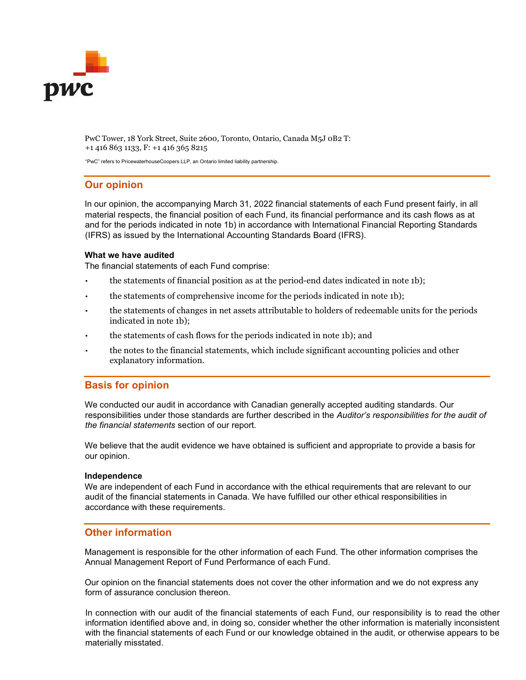

**PwC Tower, 18 York Street, Suite 2600, Toronto, Ontario, Canada M5J 0B2 T: +1 416 863 1133, F: +1 416 365 8215** 

**"PwC" refers to PricewaterhouseCoopers LLP, an Ontario limited liability partnership.** 

### **Our opinion**

**In our opinion, the accompanying March 31, 2022 financial statements of each Fund present fairly, in all material respects, the financial position of each Fund, its financial performance and its cash flows as at and for the periods indicated in note 1b) in accordance with International Financial Reporting Standards (IFRS) as issued by the International Accounting Standards Board (IFRS).** 

#### **What we have audited**

**The financial statements of each Fund comprise:** 

- **the statements of financial position as at the period-end dates indicated in note 1b);**
- **the statements of comprehensive income for the periods indicated in note 1b); •**
- **the statements of changes in net assets attributable to holders of redeemable units for the periods indicated in note 1b); •**
- **the statements of cash flows for the periods indicated in note 1b); and**
- **the notes to the financial statements, which include significant accounting policies and other explanatory information. •**

### **Basis for opinion**

**responsibilities under those standards are further described in the** *Auditor's responsibilities for the audit of the financial statements*  **section of our report. We conducted our audit in accordance with Canadian generally accepted auditing standards. Our** 

**We believe that the audit evidence we have obtained is sufficient and appropriate to provide a basis for our opinion.** 

#### **Independence**

**We are independent of each Fund in accordance with the ethical requirements that are relevant to our audit of the financial statements in Canada. We have fulfilled our other ethical responsibilities in accordance with these requirements.** 

### **Other information**

**Management is responsible for the other information of each Fund. The other information comprises the Annual Management Report of Fund Performance of each Fund.** 

**Our opinion on the financial statements does not cover the other information and we do not express any form of assurance conclusion thereon.** 

**In connection with our audit of the financial statements of each Fund, our responsibility is to read the other with the financial statements of each Fund or our knowledge obtained in the audit, or otherwise appears to be information identified above and, in doing so, consider whether the other information is materially inconsistent materially misstated.**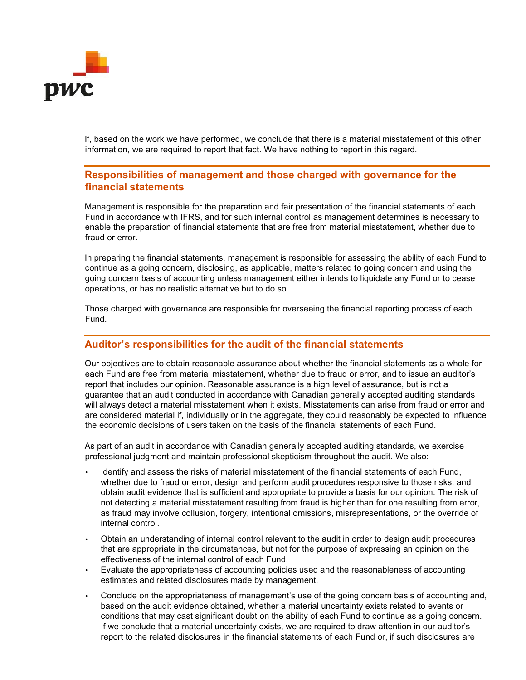

**If, based on the work we have performed, we conclude that there is a material misstatement of this other information, we are required to report that fact. We have nothing to report in this regard.** 

### **Responsibilities of management and those charged with governance for the financial statements**

**Fund in accordance with IFRS, and for such internal control as management determines is necessary to enable the preparation of financial statements that are free from material misstatement, whether due to Management is responsible for the preparation and fair presentation of the financial statements of each fraud or error.** 

**In preparing the financial statements, management is responsible for assessing the ability of each Fund to continue as a going concern, disclosing, as applicable, matters related to going concern and using the going concern basis of accounting unless management either intends to liquidate any Fund or to cease operations, or has no realistic alternative but to do so.** 

**Those charged with governance are responsible for overseeing the financial reporting process of each Fund.** 

### **Auditor's responsibilities for the audit of the financial statements**

**Our objectives are to obtain reasonable assurance about whether the financial statements as a whole for each Fund are free from material misstatement, whether due to fraud or error, and to issue an auditor's guarantee that an audit conducted in accordance with Canadian generally accepted auditing standards are considered material if, individually or in the aggregate, they could reasonably be expected to influence report that includes our opinion. Reasonable assurance is a high level of assurance, but is not a will always detect a material misstatement when it exists. Misstatements can arise from fraud or error and the economic decisions of users taken on the basis of the financial statements of each Fund.** 

**As part of an audit in accordance with Canadian generally accepted auditing standards, we exercise professional judgment and maintain professional skepticism throughout the audit. We also:** 

- **whether due to fraud or error, design and perform audit procedures responsive to those risks, and obtain audit evidence that is sufficient and appropriate to provide a basis for our opinion. The risk of as fraud may involve collusion, forgery, intentional omissions, misrepresentations, or the override of • Identify and assess the risks of material misstatement of the financial statements of each Fund, not detecting a material misstatement resulting from fraud is higher than for one resulting from error, internal control.**
- **that are appropriate in the circumstances, but not for the purpose of expressing an opinion on the • Obtain an understanding of internal control relevant to the audit in order to design audit procedures effectiveness of the internal control of each Fund.**
- **Evaluate the appropriateness of accounting policies used and the reasonableness of accounting estimates and related disclosures made by management.**
- **Conclude on the appropriateness of management's use of the going concern basis of accounting and, conditions that may cast significant doubt on the ability of each Fund to continue as a going concern. If we conclude that a material uncertainty exists, we are required to draw attention in our auditor's • based on the audit evidence obtained, whether a material uncertainty exists related to events or report to the related disclosures in the financial statements of each Fund or, if such disclosures are**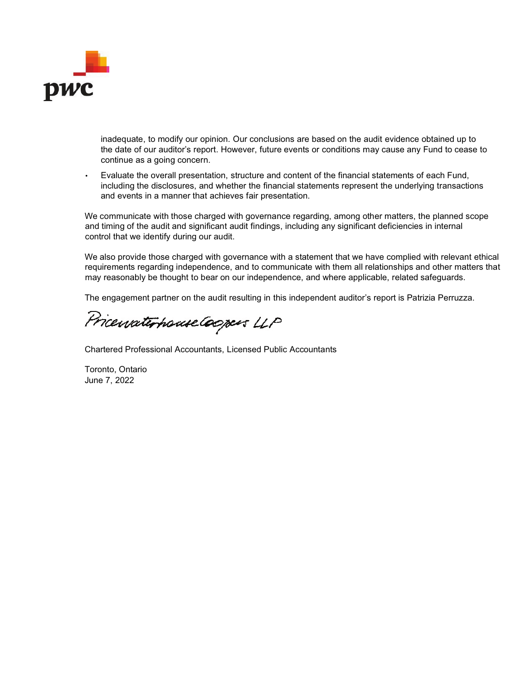

**inadequate, to modify our opinion. Our conclusions are based on the audit evidence obtained up to the date of our auditor's report. However, future events or conditions may cause any Fund to cease to continue as a going concern.** 

**• Evaluate the overall presentation, structure and content of the financial statements of each Fund, including the disclosures, and whether the financial statements represent the underlying transactions and events in a manner that achieves fair presentation.** 

**We communicate with those charged with governance regarding, among other matters, the planned scope and timing of the audit and significant audit findings, including any significant deficiencies in internal control that we identify during our audit.** 

**We also provide those charged with governance with a statement that we have complied with relevant ethical requirements regarding independence, and to communicate with them all relationships and other matters that may reasonably be thought to bear on our independence, and where applicable, related safeguards.** 

**The engagement partner on the audit resulting in this independent auditor's report is Patrizia Perruzza.** 

PricewaterhouseCoopers 4P

**Chartered Professional Accountants, Licensed Public Accountants** 

**Toronto, Ontario June 7, 2022**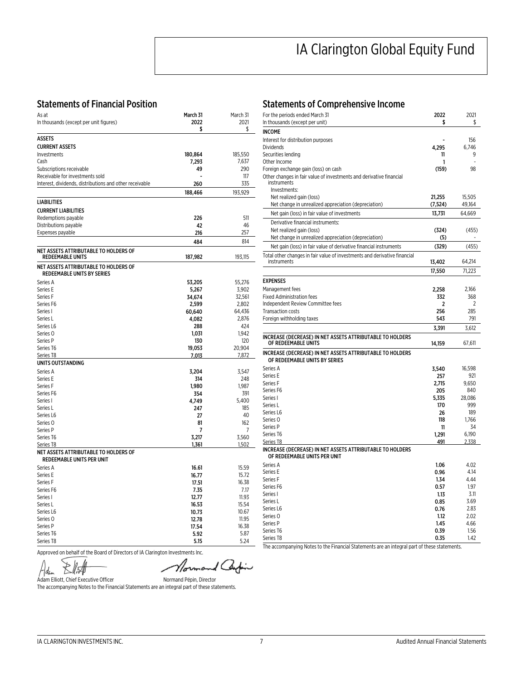# **IA Clarington Global Equity Fund**

### **Statements of Financial Position**

| As at                                                               | March 31 | March 31     |
|---------------------------------------------------------------------|----------|--------------|
| In thousands (except per unit figures)                              | 2022     | 2021         |
|                                                                     | \$       | \$           |
| <b>ASSETS</b>                                                       |          |              |
| <b>CURRENT ASSETS</b>                                               |          |              |
| Investments                                                         | 180,864  | 185,550      |
| Cash                                                                | 7,293    | 7,637        |
| Subscriptions receivable                                            | 49       | 290          |
| Receivable for investments sold                                     |          | 117          |
| Interest, dividends, distributions and other receivable             | 260      | 335          |
|                                                                     |          | 193,929      |
|                                                                     | 188,466  |              |
| <b>LIABILITIES</b>                                                  |          |              |
| <b>CURRENT LIABILITIES</b>                                          |          |              |
| Redemptions payable                                                 | 226      | 511          |
| Distributions payable                                               | 42       | 46           |
| Expenses payable                                                    | 216      | 257          |
|                                                                     | 484      | 814          |
|                                                                     |          |              |
| NET ASSETS ATTRIBUTABLE TO HOLDERS OF<br><b>REDEEMABLE UNITS</b>    | 187,982  | 193,115      |
|                                                                     |          |              |
| NET ASSETS ATTRIBUTABLE TO HOLDERS OF<br>REDEEMABLE UNITS BY SERIES |          |              |
| Series A                                                            | 53,205   | 55,276       |
| Series E                                                            | 5,267    | 3,902        |
| Series F                                                            | 34,674   | 32,561       |
| Series F6                                                           | 2,599    | 2,802        |
| Series I                                                            | 60,640   | 64,436       |
| Series L                                                            | 4,082    | 2,876        |
| Series L6                                                           | 288      | 424          |
| Series O                                                            |          | 1,942        |
| Series P                                                            | 1,031    | 120          |
|                                                                     | 130      |              |
| Series T6                                                           | 19,053   | 20,904       |
| Series T8                                                           | 7,013    | <u>7,872</u> |
| UNITS OUTSTANDING                                                   |          |              |
| Series A                                                            | 3,204    | 3,547        |
| Series E                                                            | 314      | 248          |
| Series F                                                            | 1,980    | 1,987        |
| Series F6                                                           | 354      | 391          |
| Series I                                                            | 4,749    | 5,400        |
| Series L                                                            | 247      | 185          |
| Series L6                                                           | 27       | 40           |
| Series <sub>O</sub>                                                 | 81       | 162          |
| Series P                                                            | 7        | 7            |
| Series T6                                                           | 3,217    | 3,560        |
| Series T8                                                           | 1,361    | 1,502        |
| NET ASSETS ATTRIBUTABLE TO HOLDERS OF                               |          |              |
| REDEEMABLE UNITS PER UNIT                                           |          |              |
| Series A                                                            | 16.61    | 15.59        |
| Series E                                                            | 16.77    | 15.72        |
| Series F                                                            | 17.51    | 16.38        |
| Series F6                                                           | 7.35     | 7.17         |
| Series I                                                            | 12.77    | 11.93        |
| Series L                                                            | 16.53    | 15.54        |
| Series L6                                                           | 10.73    | 10.67        |
| Series <sub>O</sub>                                                 | 12.78    | 11.95        |
| Series <sub>P</sub>                                                 | 17.54    | 16.38        |
| Series T6                                                           | 5.92     | 5.87         |
|                                                                     |          |              |
| Series T8                                                           | 5.15     | 5.24         |

### **Statements of Comprehensive Income**

| For the periods ended March 31<br>In thousands (except per unit)                 | 2022<br>\$   | 2021<br>\$    |
|----------------------------------------------------------------------------------|--------------|---------------|
| INCOME                                                                           |              |               |
| Interest for distribution purposes                                               |              | 156           |
| Dividends                                                                        | 4,295        | 6.746         |
| Securities lending                                                               | 11           | 9             |
| Other Income                                                                     | 1            |               |
| Foreign exchange gain (loss) on cash                                             | (159)        | 98            |
| Other changes in fair value of investments and derivative financial              |              |               |
| instruments                                                                      |              |               |
| Investments:                                                                     |              |               |
| Net realized gain (loss)                                                         | 21.255       | 15,505        |
| Net change in unrealized appreciation (depreciation)                             | (7,524)      | 49,164        |
| Net gain (loss) in fair value of investments                                     | 13,731       | 64,669        |
| Derivative financial instruments:                                                |              |               |
| Net realized gain (loss)                                                         | (324)        | (455)         |
| Net change in unrealized appreciation (depreciation)                             | (5)          |               |
| Net gain (loss) in fair value of derivative financial instruments                | (329)        | (455)         |
| Total other changes in fair value of investments and derivative financial        |              |               |
| instruments                                                                      | 13,402       | 64,214        |
|                                                                                  | 17,550       | 71.223        |
|                                                                                  |              |               |
| <b>EXPENSES</b>                                                                  |              |               |
| Management fees                                                                  | 2,258        | 2,166         |
| Fixed Administration fees                                                        | 332          | 368           |
| Independent Review Committee fees                                                | 2            | 2             |
| Transaction costs                                                                | 256<br>543   | 285<br>791    |
| Foreign withholding taxes                                                        |              |               |
|                                                                                  | 3,391        | 3,612         |
| INCREASE (DECREASE) IN NET ASSETS ATTRIBUTABLE TO HOLDERS<br>OF REDEEMABLE UNITS | 14,159       | 67,611        |
| INCREASE (DECREASE) IN NET ASSETS ATTRIBUTABLE TO HOLDERS                        |              |               |
| OF REDEEMABLE UNITS BY SERIES                                                    |              |               |
| Series A                                                                         | 3,540        | 16,598        |
| Series E                                                                         | 257          | 921           |
| Series F                                                                         | 2.715        | 9.650         |
| Series F6                                                                        | 205          | 840           |
| Series I<br>Series L                                                             | 5,335<br>170 | 28,086<br>999 |
| Series L6                                                                        | 26           | 189           |
| Series O                                                                         | 118          | 1,766         |
| Series P                                                                         | 11           | 34            |
| Series T6                                                                        | 1,291        | 6,190         |
| Series T8                                                                        | 491          | 2.338         |
| INCREASE (DECREASE) IN NET ASSETS ATTRIBUTABLE TO HOLDERS                        |              |               |
| OF REDEEMABLE UNITS PER UNIT                                                     |              |               |
| Series A                                                                         | 1.06         | 4.02          |
| Series E                                                                         | 0.96         | 4.14          |
| Series F                                                                         | 1.34         | 4.44          |
| Series F6                                                                        | 0.57         | 1.97          |
| Series I                                                                         | 1.13         | 3.11          |
| Series L                                                                         | 0.85         | 3.69          |
| Series L6                                                                        | 0.76         | 2.83          |
| Series O                                                                         | 1.12         | 2.02          |
| Series P                                                                         | 1.45         | 4.66          |
| Series T6                                                                        | 0.39         | 1.56          |
| Series T8                                                                        | 0.35         | 1.42          |

**The accompanying Notes to the Financial Statements are an integral part of these statements.** 

**Approved on behalf of the Board of Directors of IA Clarington Investments Inc.** 

D (174 ldسا

Pormand Carpin

Adam Elliott, Chief Executive Officer **Normand Pépin, Director The accompanying Notes to the Financial Statements are an integral part of these statements.**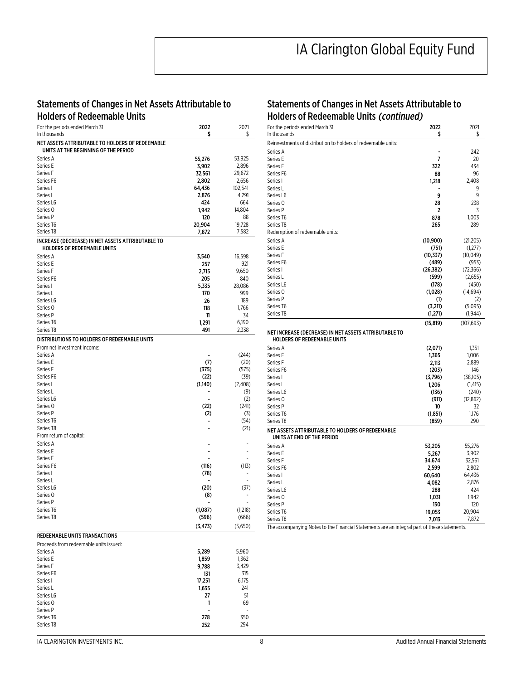### **Statements of Changes in Net Assets Attributable to Holders of Redeemable Units**

| For the periods ended March 31<br>In thousands                                           | 2022<br>\$                   | 2021<br>\$               |
|------------------------------------------------------------------------------------------|------------------------------|--------------------------|
| NET ASSETS ATTRIBUTABLE TO HOLDERS OF REDEEMABLE<br>UNITS AT THE BEGINNING OF THE PERIOD |                              |                          |
| Series A                                                                                 |                              | 53,925                   |
| Series E                                                                                 | 55,276                       | 2,896                    |
| Series F                                                                                 | 3,902<br>32,561              |                          |
|                                                                                          |                              | 29,672                   |
| Series F6                                                                                | 2,802                        | 2,656                    |
| Series I                                                                                 | 64,436                       | 102,541                  |
| Series L                                                                                 | 2,876                        | 4,291                    |
| Series L6                                                                                | 424                          | 664                      |
| Series <sub>O</sub>                                                                      | 1,942                        | 14,804                   |
| Series <sub>P</sub>                                                                      | 120                          | 88                       |
| Series T6                                                                                | 20,904                       | 19,728                   |
| Series T8                                                                                | 7,872                        | 7,582                    |
| INCREASE (DECREASE) IN NET ASSETS ATTRIBUTABLE TO<br>HOLDERS OF REDEEMABLE UNITS         |                              |                          |
| Series A                                                                                 | 3,540                        | 16,598                   |
| Series E                                                                                 | 257                          | 921                      |
| Series F                                                                                 | 2,715                        | 9,650                    |
| Series F6                                                                                | 205                          | 840                      |
| Series I                                                                                 | 5,335                        | 28,086                   |
| Series L                                                                                 | 170                          | 999                      |
| Series L6                                                                                | 26                           | 189                      |
| Series <sub>O</sub>                                                                      | 118                          | 1,766                    |
| Series P                                                                                 | 11                           |                          |
| Series T6                                                                                |                              | 34                       |
|                                                                                          | 1,291                        | 6,190                    |
| Series T8                                                                                | 491                          | 2,338                    |
| DISTRIBUTIONS TO HOLDERS OF REDEEMABLE UNITS                                             |                              |                          |
| From net investment income:                                                              |                              |                          |
| Series A                                                                                 |                              | (244)                    |
| Series E                                                                                 | (7)                          | (20)                     |
| Series F                                                                                 | (375)                        | (575)                    |
| Series F6                                                                                | (22)                         | (39)                     |
| Series I                                                                                 | (1,140)                      | (2,408)                  |
| Series L                                                                                 |                              | (9)                      |
| Series L6                                                                                |                              | (2)                      |
| Series <sub>O</sub>                                                                      | (22)                         | (241)                    |
| Series P                                                                                 | (2)                          | (3)                      |
| Series T6                                                                                | $\qquad \qquad \blacksquare$ | (54)                     |
| Series T8                                                                                | ٠                            | (21)                     |
| From return of capital:                                                                  |                              |                          |
| Series A                                                                                 | ٠                            | ÷                        |
| Series E                                                                                 |                              | $\overline{a}$           |
| Series F                                                                                 |                              | ٠                        |
| Series F6                                                                                | (116)                        | (113)                    |
| Series I                                                                                 | (78)                         |                          |
| Series L                                                                                 |                              | $\overline{a}$           |
| Series L6                                                                                | (20)                         | (37)                     |
| Series O                                                                                 | (8)                          | $\overline{\phantom{0}}$ |
| Series P                                                                                 | ۰                            | $\overline{a}$           |
| Series T6                                                                                | (1,087)                      | (1,218)                  |
| Series T8                                                                                | (596)                        | (666)                    |
|                                                                                          |                              |                          |
| REDEEMABLE UNITS TRANSACTIONS                                                            | (3, 473)                     | (5,650)                  |
| Proceeds from redeemable units issued:                                                   |                              |                          |
| Series A                                                                                 |                              |                          |
| Series E                                                                                 | 5,289                        | 5,960                    |
| Series F                                                                                 | 1,859                        | 1,362                    |
|                                                                                          | 9,788                        | 3,429                    |
| Series F6                                                                                | 131                          | 315                      |
| Series I                                                                                 | 17,251                       | 6,175                    |
| Series L                                                                                 | 1,635                        | 241                      |
| Series L6                                                                                | 27                           | 51                       |
| Series <sub>O</sub>                                                                      | 1                            | 69                       |

**Series P - - Series T6 278 350 Series T8 252 294** 

### **Statements of Changes in Net Assets Attributable to Holders of Redeemable Units (continued)**

| For the periods ended March 31                                                 | 2022      | 2021       |
|--------------------------------------------------------------------------------|-----------|------------|
| In thousands                                                                   | \$        | \$         |
| Reinvestments of distribution to holders of redeemable units:                  |           |            |
| Series A                                                                       |           | 242        |
| Series E                                                                       | 7         | 20         |
| Series F                                                                       | 322       | 434        |
| Series F6                                                                      | 88        | 96         |
| Series I                                                                       | 1,218     | 2,408      |
| Series L                                                                       | ÷,        | 9          |
| Series L6                                                                      | 9         | 9          |
| Series <sub>O</sub>                                                            | 28        | 238        |
| Series <sub>P</sub>                                                            | 2         | 3          |
| Series T6                                                                      | 878       | 1,003      |
| Series T8                                                                      | 265       | 289        |
| Redemption of redeemable units:                                                |           |            |
|                                                                                |           |            |
| Series A                                                                       | (10, 900) | (21, 205)  |
| Series E                                                                       | (751)     | (1,277)    |
| Series F                                                                       | (10, 337) | (10, 049)  |
| Series F6                                                                      | (489)     | (953)      |
| Series I                                                                       | (26, 382) | (72, 366)  |
| Series L                                                                       | (599)     | (2,655)    |
| Series L6                                                                      | (178)     | (450)      |
| Series <sub>O</sub>                                                            | (1,028)   | (14, 694)  |
| Series <sub>P</sub>                                                            | (1)       | (2)        |
| Series T6                                                                      | (3,211)   | (5,095)    |
| Series T8                                                                      | (1, 271)  | (1, 944)   |
|                                                                                | (15, 819) | (107, 693) |
| NET INCREASE (DECREASE) IN NET ASSETS ATTRIBUTABLE TO                          |           |            |
| <b>HOLDERS OF REDEEMABLE UNITS</b>                                             |           |            |
| Series A                                                                       | (2,071)   | 1,351      |
| Series E                                                                       | 1,365     | 1,006      |
| Series F                                                                       | 2,113     | 2,889      |
| Series F6                                                                      | (203)     | 146        |
| Series I                                                                       | (3,796)   | (38,105)   |
| Series L                                                                       | 1,206     | (1, 415)   |
| Series L6                                                                      |           |            |
| Series <sub>O</sub>                                                            | (136)     | (240)      |
| Series P                                                                       | (911)     | (12, 862)  |
|                                                                                | 10        | 32         |
| Series T6                                                                      | (1, 851)  | 1,176      |
| Series T8                                                                      | (859)     | 290        |
| NET ASSETS ATTRIBUTABLE TO HOLDERS OF REDEEMABLE<br>UNITS AT END OF THE PERIOD |           |            |
| Series A                                                                       | 53,205    | 55,276     |
| Series E                                                                       | 5,267     | 3,902      |
| Series F                                                                       | 34,674    | 32,561     |
| Series F6                                                                      | 2,599     | 2,802      |
| Series I                                                                       | 60,640    | 64,436     |
| Series L                                                                       | 4,082     | 2,876      |
| Series L6                                                                      | 288       | 424        |
| Series <sub>O</sub>                                                            | 1,031     | 1,942      |
| Series P                                                                       | 130       | 120        |
| Series T6                                                                      |           | 20,904     |
| Series T8                                                                      | 19,053    |            |
|                                                                                | 7,013     | 7,872      |

**The accompanying Notes to the Financial Statements are an integral part of these statements.** 

Series P Series T6 Series T<sub>8</sub>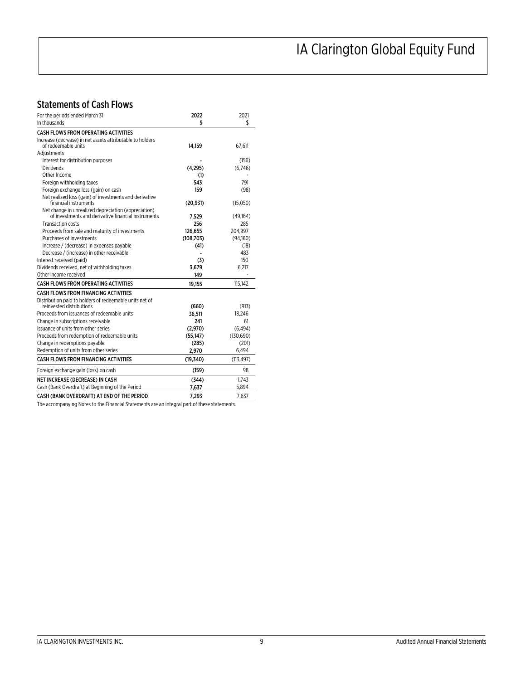### **Statements of Cash Flows**

| For the periods ended March 31                            | 2022           | 2021       |
|-----------------------------------------------------------|----------------|------------|
| In thousands                                              | \$             | \$         |
| <b>CASH FLOWS FROM OPERATING ACTIVITIES</b>               |                |            |
| Increase (decrease) in net assets attributable to holders |                |            |
| of redeemable units                                       | 14,159         | 67.611     |
| Adiustments                                               |                |            |
| Interest for distribution purposes                        |                | (156)      |
| Dividends                                                 | (4,295)        | (6,746)    |
| Other Income                                              | (1)            |            |
| Foreign withholding taxes                                 | 543            | 791        |
| Foreign exchange loss (gain) on cash                      | 159            | (98)       |
| Net realized loss (gain) of investments and derivative    |                |            |
| financial instruments                                     | (20, 931)      | (15,050)   |
| Net change in unrealized depreciation (appreciation)      |                |            |
| of investments and derivative financial instruments       | 7,529          | (49,164)   |
| <b>Transaction costs</b>                                  | 256            | 285        |
| Proceeds from sale and maturity of investments            | 126,655        | 204,997    |
| Purchases of investments                                  | (108, 703)     | (94,160)   |
| Increase / (decrease) in expenses payable                 | (41)           | (18)       |
| Decrease / (increase) in other receivable                 | $\overline{a}$ | 483        |
| Interest received (paid)                                  | (3)            | 150        |
| Dividends received, net of withholding taxes              | 3,679          | 6.217      |
| Other income received                                     | 149            |            |
| CASH FLOWS FROM OPFRATING ACTIVITIES                      | 19.155         | 115,142    |
| <b>CASH FLOWS FROM FINANCING ACTIVITIES</b>               |                |            |
| Distribution paid to holders of redeemable units net of   |                |            |
| reinvested distributions                                  | (660)          | (913)      |
| Proceeds from issuances of redeemable units               | 36,511         | 18.246     |
| Change in subscriptions receivable                        | 241            | 61         |
| Issuance of units from other series                       | (2,970)        | (6, 494)   |
| Proceeds from redemption of redeemable units              | (55, 147)      | (130, 690) |
| Change in redemptions payable                             | (285)          | (201)      |
| Redemption of units from other series                     | 2.970          | 6,494      |
| <b>CASH FLOWS FROM FINANCING ACTIVITIES</b>               | (19, 340)      | (113, 497) |
| Foreign exchange gain (loss) on cash                      | (159)          | 98         |
| NET INCREASE (DECREASE) IN CASH                           | (344)          | 1.743      |
| Cash (Bank Overdraft) at Beginning of the Period          | 7,637          | 5,894      |
| CASH (BANK OVERDRAFT) AT END OF THE PERIOD                | 7.293          | 7,637      |

**The accompanying Notes to the Financial Statements are an integral part of these statements.**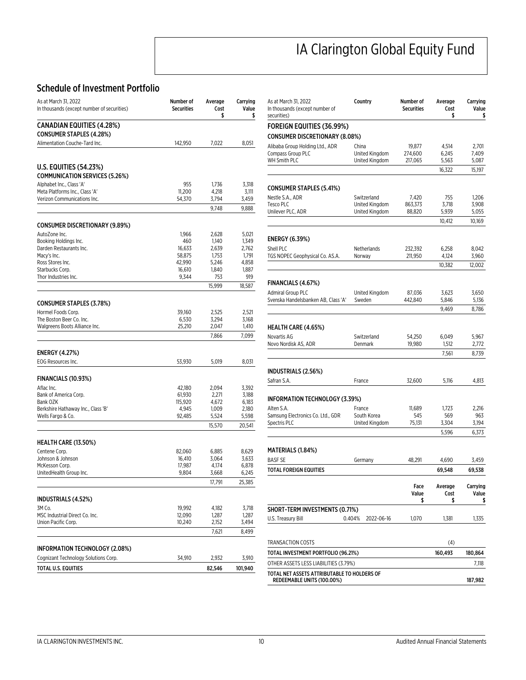# **IA Clarington Global Equity Fund**

### **Schedule of Investment Portfolio**

| As at March 31, 2022<br>In thousands (except number of securities)     | Number of<br><b>Securities</b> | Average<br>Cost<br>\$ | Carrying<br>Value<br>\$ |
|------------------------------------------------------------------------|--------------------------------|-----------------------|-------------------------|
| <b>CANADIAN EQUITIES (4.28%)</b>                                       |                                |                       |                         |
| CONSUMER STAPLES (4.28%)                                               |                                |                       |                         |
| Alimentation Couche-Tard Inc.                                          | 142,950                        | 7,022                 | 8,051                   |
|                                                                        |                                |                       |                         |
| <b>U.S. EQUITIES (54.23%)</b><br><b>COMMUNICATION SERVICES (5.26%)</b> |                                |                       |                         |
| Alphabet Inc., Class 'A'                                               | 955                            | 1,736                 | 3,318                   |
| Meta Platforms Inc., Class 'A'                                         | 11,200                         | 4,218                 | 3,111                   |
| Verizon Communications Inc.                                            | 54,370                         | 3,794                 | 3,459                   |
|                                                                        |                                | 9,748                 | 9,888                   |
| CONSUMER DISCRETIONARY (9.89%)                                         |                                |                       |                         |
| AutoZone Inc.                                                          | 1,966                          | 2,628                 | 5,021                   |
| Booking Holdings Inc.                                                  | 460                            | 1,140                 | 1,349                   |
| Darden Restaurants Inc.                                                | 16,633                         | 2,639                 | 2,762                   |
| Macy's Inc.                                                            | 58,875                         | 1,753                 | 1,791                   |
| Ross Stores Inc.<br>Starbucks Corp.                                    | 42,990                         | 5,246                 | 4,858                   |
| Thor Industries Inc.                                                   | 16,610<br>9,344                | 1,840<br>753          | 1,887<br>919            |
|                                                                        |                                | 15,999                | 18.587                  |
|                                                                        |                                |                       |                         |
| CONSUMER STAPLES (3.78%)                                               |                                |                       |                         |
| Hormel Foods Corp.                                                     | 39,160                         | 2,525                 | 2,521                   |
| The Boston Beer Co. Inc.<br>Walgreens Boots Alliance Inc.              | 6.530<br>25,210                | 3,294<br>2,047        | 3,168<br>1,410          |
|                                                                        |                                | 7.866                 | 7,099                   |
|                                                                        |                                |                       |                         |
| ENERGY (4.27%)<br>EOG Resources Inc.                                   | 53,930                         | 5,019                 | 8,031                   |
|                                                                        |                                |                       |                         |
| FINANCIALS (10.93%)                                                    |                                |                       |                         |
| Aflac Inc.                                                             | 42,180                         | 2,094                 | 3,392                   |
| Bank of America Corp.<br>Bank OZK                                      | 61,930<br>115,920              | 2,271<br>4,672        | 3,188<br>6,183          |
| Berkshire Hathaway Inc., Class 'B'                                     | 4,945                          | 1,009                 | 2,180                   |
| Wells Fargo & Co.                                                      | 92,485                         | 5,524                 | 5,598                   |
|                                                                        |                                | 15,570                | 20,541                  |
| HEALTH CARE (13.50%)                                                   |                                |                       |                         |
| Centene Corp.                                                          | 82,060                         | 6,885                 | 8,629                   |
| Johnson & Johnson                                                      | 16,410                         | 3,064                 | 3,633                   |
| McKesson Corp.                                                         | 17,987                         | 4,174                 | 6,878                   |
| UnitedHealth Group Inc.                                                | 9,804                          | 3,668                 | 6,245                   |
|                                                                        |                                | 17,791                | 25,385                  |
| INDUSTRIALS (4.52%)                                                    |                                |                       |                         |
| 3M Co.                                                                 | 19,992                         | 4,182                 | 3,718                   |
| MSC Industrial Direct Co. Inc.                                         | 12,090                         | 1,287                 | 1,287                   |
| Union Pacific Corp.                                                    | 10,240                         | 2,152                 | 3,494                   |
|                                                                        |                                | 7,621                 | 8,499                   |
|                                                                        |                                |                       |                         |
| INFORMATION TECHNOLOGY (2.08%)                                         |                                |                       |                         |
| Cognizant Technology Solutions Corp.                                   | 34,910                         | 2,932                 | 3,910                   |
| TOTAL U.S. EQUITIES                                                    |                                | 82,546                | 101,940                 |

| As at March 31, 2022<br>In thousands (except number of<br>securities)                | Country                                   | Number of<br><b>Securities</b> | Average<br>Cost<br>S    | Carrying<br>Value<br>\$ |
|--------------------------------------------------------------------------------------|-------------------------------------------|--------------------------------|-------------------------|-------------------------|
| FOREIGN EQUITIES (36.99%)                                                            |                                           |                                |                         |                         |
| CONSUMER DISCRETIONARY (8.08%)                                                       |                                           |                                |                         |                         |
| Alibaba Group Holding Ltd., ADR<br>Compass Group PLC<br><b>WH Smith PLC</b>          | China<br>United Kingdom<br>United Kingdom | 19.877<br>274,600<br>217,065   | 4,514<br>6,245<br>5,563 | 2,701<br>7,409<br>5,087 |
|                                                                                      |                                           |                                | 16,322                  | 15,197                  |
|                                                                                      |                                           |                                |                         |                         |
| CONSUMER STAPLES (5.41%)                                                             |                                           |                                |                         |                         |
| Nestle S.A., ADR<br>Tesco PLC                                                        | Switzerland<br><b>United Kingdom</b>      | 7.420<br>863,373               | 755<br>3.718            | 1.206<br>3,908          |
| Unilever PLC, ADR                                                                    | United Kingdom                            | 88,820                         | 5,939                   | 5,055                   |
|                                                                                      |                                           |                                | 10,412                  | 10,169                  |
| ENERGY (6.39%)                                                                       |                                           |                                |                         |                         |
| Shell PLC                                                                            | Netherlands                               | 232,392                        | 6,258                   | 8,042                   |
| TGS NOPEC Geophysical Co. AS.A.                                                      | Norway                                    | 211,950                        | 4,124                   | 3,960                   |
|                                                                                      |                                           |                                | 10,382                  | 12,002                  |
|                                                                                      |                                           |                                |                         |                         |
| FINANCIALS (4.67%)                                                                   |                                           |                                |                         |                         |
| <b>Admiral Group PLC</b><br>Svenska Handelsbanken AB, Class 'A'                      | United Kingdom<br>Sweden                  | 87,036<br>442.840              | 3,623<br>5,846          | 3,650<br>5,136          |
|                                                                                      |                                           |                                | 9,469                   | 8,786                   |
|                                                                                      |                                           |                                |                         |                         |
| HEALTH CARE (4.65%)                                                                  |                                           |                                |                         |                         |
| Novartis AG<br>Novo Nordisk AS, ADR                                                  | Switzerland<br>Denmark                    | 54,250<br>19,980               | 6,049<br>1,512          | 5,967<br>2,772          |
|                                                                                      |                                           |                                | 7,561                   | 8,739                   |
|                                                                                      |                                           |                                |                         |                         |
| INDUSTRIALS (2.56%)                                                                  |                                           |                                |                         |                         |
| Safran S.A.                                                                          | France                                    | 32,600                         | 5,116                   | 4,813                   |
| INFORMATION TECHNOLOGY (3.39%)                                                       |                                           |                                |                         |                         |
| Alten S.A.                                                                           | France                                    | 11,689                         | 1,723                   | 2,216                   |
| Samsung Electronics Co. Ltd., GDR<br><b>Spectris PLC</b>                             | South Korea<br>United Kingdom             | 545<br>75,131                  | 569<br>3,304            | 963<br>3,194            |
|                                                                                      |                                           |                                | 5,596                   | 6,373                   |
|                                                                                      |                                           |                                |                         |                         |
| MATERIALS (1.84%)                                                                    |                                           |                                |                         |                         |
| BASF SE<br>TOTAL FOREIGN EQUITIES                                                    | Germany                                   | 48,291                         | 4.690<br>69,548         | 3,459<br>69,538         |
|                                                                                      |                                           |                                |                         |                         |
|                                                                                      |                                           | Face<br>Value<br>\$            | Average<br>Cost<br>\$   | Carrying<br>Value<br>\$ |
| SHORT-TERM INVESTMENTS (0.71%)                                                       |                                           |                                |                         |                         |
| U.S. Treasury Bill                                                                   | 0.404%<br>2022-06-16                      | 1,070                          | 1,381                   | 1,335                   |
|                                                                                      |                                           |                                |                         |                         |
| TRANSACTION COSTS                                                                    |                                           |                                | (4)                     |                         |
| TOTAL INVESTMENT PORTFOLIO (96.21%)                                                  |                                           |                                | 160,493                 | 180,864                 |
| OTHER ASSETS LESS LIABILITIES (3.79%)<br>TOTAL NET ASSETS ATTRIBUTABLE TO HOLDERS OF |                                           |                                |                         | 7,118                   |
| REDEEMABLE UNITS (100.00%)                                                           |                                           |                                |                         | 187,982                 |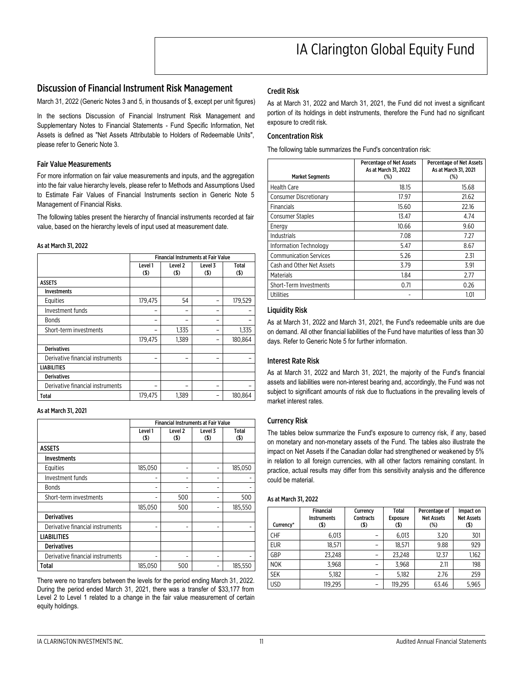### **Discussion of Financial Instrument Risk Management**

**March 31, 2022 (Generic Notes 3 and 5, in thousands of \$, except per unit figures)** 

**In the sections Discussion of Financial Instrument Risk Management and Supplementary Notes to Financial Statements - Fund Specific Information, Net Assets is defined as "Net Assets Attributable to Holders of Redeemable Units", please refer to Generic Note 3.** 

#### **Fair Value Measurements**

**For more information on fair value measurements and inputs, and the aggregation into the fair value hierarchy levels, please refer to Methods and Assumptions Used to Estimate Fair Values of Financial Instruments section in Generic Note 5 Management of Financial Risks.** 

**The following tables present the hierarchy of financial instruments recorded at fair value, based on the hierarchy levels of input used at measurement date.** 

#### **As at March 31, 2022**

|                                  | <b>Financial Instruments at Fair Value</b>                                                |       |  |         |  |
|----------------------------------|-------------------------------------------------------------------------------------------|-------|--|---------|--|
|                                  | Level 2<br>Level 3<br>Level 1<br><b>Total</b><br>$($ \$)<br>$($ \$)<br>$($ \$)<br>$($ \$) |       |  |         |  |
| <b>ASSETS</b>                    |                                                                                           |       |  |         |  |
| <b>Investments</b>               |                                                                                           |       |  |         |  |
| Equities                         | 179,475                                                                                   | 54    |  | 179,529 |  |
| Investment funds                 |                                                                                           |       |  |         |  |
| <b>Bonds</b>                     |                                                                                           |       |  |         |  |
| Short-term investments           |                                                                                           | 1,335 |  | 1,335   |  |
|                                  | 179,475                                                                                   | 1,389 |  | 180,864 |  |
| <b>Derivatives</b>               |                                                                                           |       |  |         |  |
| Derivative financial instruments |                                                                                           |       |  |         |  |
| <b>LIABILITIES</b>               |                                                                                           |       |  |         |  |
| <b>Derivatives</b>               |                                                                                           |       |  |         |  |
| Derivative financial instruments |                                                                                           |       |  |         |  |
| Total                            | 179,475                                                                                   | 1.389 |  | 180,864 |  |

**As at March 31, 2021** 

|                                  | <b>Financial Instruments at Fair Value</b>                                     |     |  |         |  |
|----------------------------------|--------------------------------------------------------------------------------|-----|--|---------|--|
|                                  | Level 1<br>Level 2<br>Level 3<br><b>Total</b><br>$($ \$)<br>$($ \$)<br>$($ \$) |     |  |         |  |
| <b>ASSETS</b>                    |                                                                                |     |  |         |  |
| <b>Investments</b>               |                                                                                |     |  |         |  |
| Equities                         | 185,050                                                                        |     |  | 185,050 |  |
| Investment funds                 |                                                                                |     |  |         |  |
| <b>Bonds</b>                     |                                                                                |     |  |         |  |
| Short-term investments           |                                                                                | 500 |  | 500     |  |
|                                  | 185,050                                                                        | 500 |  | 185,550 |  |
| <b>Derivatives</b>               |                                                                                |     |  |         |  |
| Derivative financial instruments |                                                                                |     |  |         |  |
| <b>LIABILITIES</b>               |                                                                                |     |  |         |  |
| <b>Derivatives</b>               |                                                                                |     |  |         |  |
| Derivative financial instruments |                                                                                |     |  |         |  |
| Total                            | 185,050                                                                        | 500 |  | 185,550 |  |

**equity holdings. { There were no transfers between the levels for the period ending March 31, 2022. During the period ended March 31, 2021, there was a transfer of \$33,177 from Level 2 to Level 1 related to a change in the fair value measurement of certain** 

#### **Credit Risk**

**As at March 31, 2022 and March 31, 2021, the Fund did not invest a significant portion of its holdings in debt instruments, therefore the Fund had no significant exposure to credit risk.** 

#### **Concentration Risk**

**The following table summarizes the Fund's concentration risk:** 

| <b>Market Segments</b>        | <b>Percentage of Net Assets</b><br>As at March 31, 2022<br>$(\%)$ | <b>Percentage of Net Assets</b><br>As at March 31, 2021<br>$(\%)$ |
|-------------------------------|-------------------------------------------------------------------|-------------------------------------------------------------------|
| Health Care                   | 18.15                                                             | 15.68                                                             |
| <b>Consumer Discretionary</b> | 17.97                                                             | 21.62                                                             |
| <b>Financials</b>             | 15.60                                                             | 22.16                                                             |
| <b>Consumer Staples</b>       | 13.47                                                             | 4.74                                                              |
| Energy                        | 10.66                                                             | 9.60                                                              |
| <b>Industrials</b>            | 7.08                                                              | 7.27                                                              |
| Information Technology        | 5.47                                                              | 8.67                                                              |
| <b>Communication Services</b> | 5.26                                                              | 2.31                                                              |
| Cash and Other Net Assets     | 3.79                                                              | 3.91                                                              |
| Materials                     | 1.84                                                              | 2.77                                                              |
| Short-Term Investments        | 0.71                                                              | 0.26                                                              |
| Utilities                     |                                                                   | 1.01                                                              |

#### **Liquidity Risk**

**As at March 31, 2022 and March 31, 2021 , the Fund's redeemable units are due on demand. All other financial liabilities of the Fund have maturities of less than 30 days. Refer to Generic Note 5 for further information.** 

#### **Interest Rate Risk**

**As at March 31, 2022 and March 31, 2021 , the majority of the Fund's financial assets and liabilities were non-interest bearing and, accordingly, the Fund was not subject to significant amounts of risk due to fluctuations in the prevailing levels of market interest rates.** 

#### **Currency Risk**

**The tables below summarize the Fund's exposure to currency risk, if any, based on monetary and non-monetary assets of the Fund. The tables also illustrate the impact on Net Assets if the Canadian dollar had strengthened or weakened by 5% in relation to all foreign currencies, with all other factors remaining constant. In practice, actual results may differ from this sensitivity analysis and the difference could be material.** 

#### **As at March 31, 2022**

| Currency*  | Financial<br><b>Instruments</b><br>$($ \$) | Currency<br><b>Contracts</b><br>$($ \$) | Total<br><b>Exposure</b><br>$($ \$) | Percentage of<br><b>Net Assets</b><br>$(\%)$ | Impact on<br><b>Net Assets</b><br>$($ \$) |
|------------|--------------------------------------------|-----------------------------------------|-------------------------------------|----------------------------------------------|-------------------------------------------|
| <b>CHF</b> | 6.013                                      | -                                       | 6.013                               | 3.20                                         | 301                                       |
| <b>EUR</b> | 18.571                                     |                                         | 18.571                              | 9.88                                         | 929                                       |
| GBP        | 23.248                                     |                                         | 23.248                              | 12.37                                        | 1,162                                     |
| <b>NOK</b> | 3.968                                      | -                                       | 3.968                               | 2.11                                         | 198                                       |
| <b>SEK</b> | 5,182                                      | -                                       | 5,182                               | 2.76                                         | 259                                       |
| <b>USD</b> | 119,295                                    | -                                       | 119.295                             | 63.46                                        | 5.965                                     |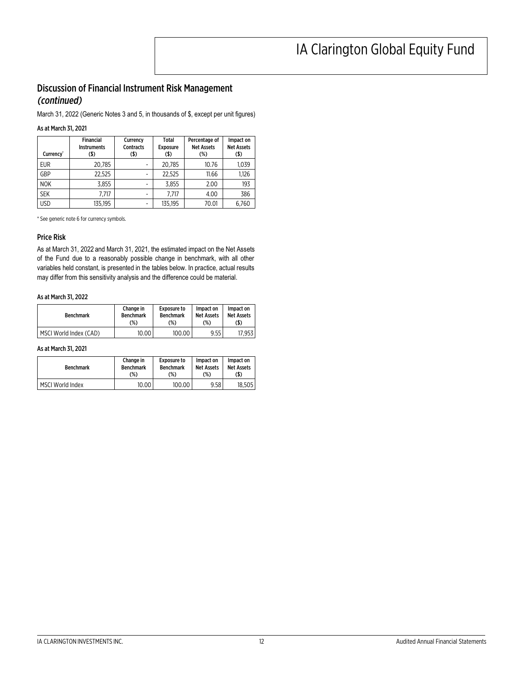### **Discussion of Financial Instrument Risk Management (continued)**

**March 31, 2022 (Generic Notes 3 and 5, in thousands of \$, except per unit figures)** 

#### **As at March 31, 2021**

| Currency <sup>*</sup> | Financial<br><b>Instruments</b><br>(\$) | Currency<br><b>Contracts</b><br>$($ \$) | Total<br><b>Exposure</b><br>(5) | Percentage of<br><b>Net Assets</b><br>$(\%)$ | Impact on<br><b>Net Assets</b><br>(\$) |
|-----------------------|-----------------------------------------|-----------------------------------------|---------------------------------|----------------------------------------------|----------------------------------------|
| <b>EUR</b>            | 20,785                                  | ٠                                       | 20.785                          | 10.76                                        | 1.039                                  |
| GBP                   | 22.525                                  | ٠                                       | 22.525                          | 11.66                                        | 1.126                                  |
| <b>NOK</b>            | 3.855                                   | -                                       | 3.855                           | 2.00                                         | 193                                    |
| <b>SEK</b>            | 7.717                                   | ٠                                       | 7.717                           | 4.00                                         | 386                                    |
| <b>USD</b>            | 135,195                                 | -                                       | 135,195                         | 70.01                                        | 6,760                                  |

**\* See generic note 6 for currency symbols.** 

#### **Price Risk**

**As at March 31, 2022 and March 31, 2021 , the estimated impact on the Net Assets of the Fund due to a reasonably possible change in benchmark, with all other variables held constant, is presented in the tables below. In practice, actual results may differ from this sensitivity analysis and the difference could be material.** 

#### **As at March 31, 2022**

| <b>Benchmark</b>       | Change in        | <b>Exposure to</b> | Impact on         | Impact on         |
|------------------------|------------------|--------------------|-------------------|-------------------|
|                        | <b>Benchmark</b> | <b>Benchmark</b>   | <b>Net Assets</b> | <b>Net Assets</b> |
|                        | (% )             | (%)                | (%)               | (\$)              |
| MSCI World Index (CAD) | 10.00            | 100.00             | 9.55              | $17.953 +$        |

#### **As at March 31, 2021**

| <b>Benchmark</b> | Change in          | <b>Exposure to</b>  | Impact on         | Impact on         |
|------------------|--------------------|---------------------|-------------------|-------------------|
|                  | <b>Benchmark</b>   | <b>Benchmark</b>    | <b>Net Assets</b> | <b>Net Assets</b> |
|                  | (%)                | (%)                 | (%)               | (5)               |
| MSCI World Index | 10.00 <sub>1</sub> | 100.00 <sub>1</sub> | 9.58              | 18.505            |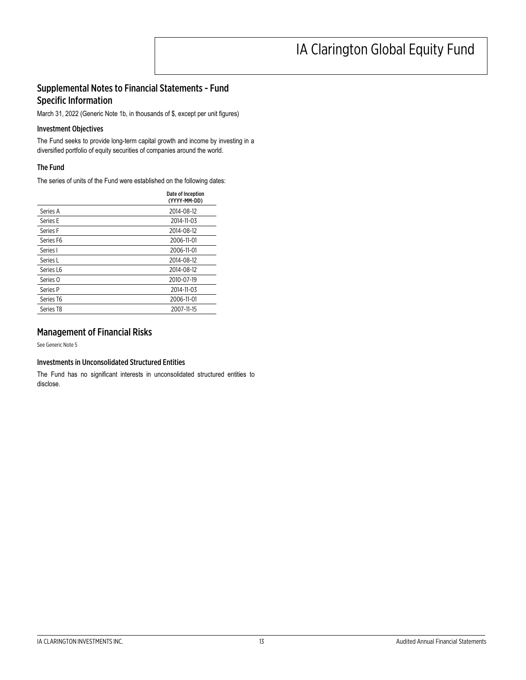### **Supplemental Notes to Financial Statements - Fund Specific Information**

**March 31, 2022 (Generic Note 1b, in thousands of \$, except per unit figures)** 

#### **Investment Objectives**

**The Fund seeks to provide long-term capital growth and income by investing in a diversified portfolio of equity securities of companies around the world.** 

#### **The Fund**

**The series of units of the Fund were established on the following dates:** 

|           | Date of Inception<br>(YYYY-MM-DD) |
|-----------|-----------------------------------|
| Series A  | 2014-08-12                        |
| Series E  | 2014-11-03                        |
| Series F  | 2014-08-12                        |
| Series F6 | 2006-11-01                        |
| Series I  | 2006-11-01                        |
| Series L  | 2014-08-12                        |
| Series L6 | 2014-08-12                        |
| Series O  | 2010-07-19                        |
| Series P  | 2014-11-03                        |
| Series T6 | 2006-11-01                        |
| Series T8 | 2007-11-15                        |

### **Management of Financial Risks**

**See Generic Note 5** 

#### **Investments in Unconsolidated Structured Entities**

**The Fund has no significant interests in unconsolidated structured entities to disclose.**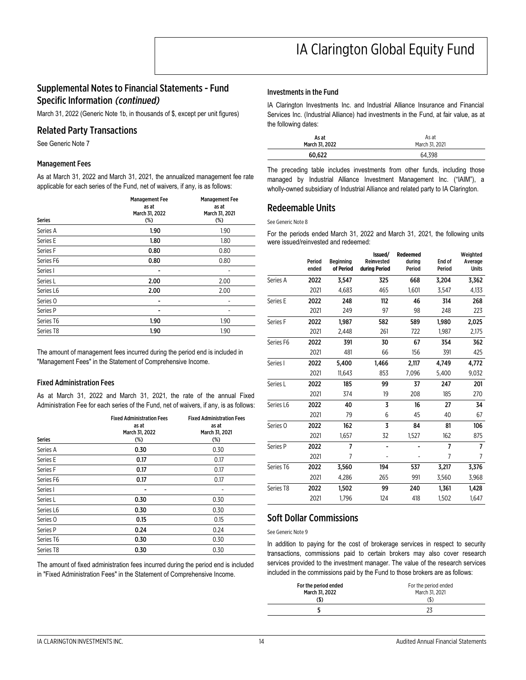### **Supplemental Notes to Financial Statements - Fund Specific Information (continued)**

**March 31, 2022 (Generic Note 1b, in thousands of \$, except per unit figures)** 

### **Related Party Transactions**

**See Generic Note 7** 

#### **Management Fees**

**As at March 31, 2022 and March 31, 2021 , the annualized management fee rate applicable for each series of the Fund, net of waivers, if any, is as follows:** 

| <b>Series</b> | <b>Management Fee</b><br>as at<br>March 31, 2022<br>$(\%)$ | <b>Management Fee</b><br>as at<br>March 31, 2021<br>$(\%)$ |
|---------------|------------------------------------------------------------|------------------------------------------------------------|
| Series A      | 1.90                                                       | 1.90                                                       |
| Series E      | 1.80                                                       | 1.80                                                       |
| Series F      | 0.80                                                       | 0.80                                                       |
| Series F6     | 0.80                                                       | 0.80                                                       |
| Series I      |                                                            |                                                            |
| Series L      | 2.00                                                       | 2.00                                                       |
| Series L6     | 2.00                                                       | 2.00                                                       |
| Series 0      |                                                            |                                                            |
| Series P      |                                                            |                                                            |
| Series T6     | 1.90                                                       | 1.90                                                       |
| Series T8     | 1.90                                                       | 1.90                                                       |

**The amount of management fees incurred during the period end is included in "Management Fees" in the Statement of Comprehensive Income.** 

#### **Fixed Administration Fees**

As at March 31, 2022 and March 31, 2021, the rate of the annual Fixed **Administration Fee for each series of the Fund, net of waivers, if any, is as follows:** 

| <b>Series</b> | <b>Fixed Administration Fees</b><br>as at<br>March 31, 2022<br>$(\%)$ | <b>Fixed Administration Fees</b><br>as at<br>March 31, 2021<br>$(\%)$ |
|---------------|-----------------------------------------------------------------------|-----------------------------------------------------------------------|
| Series A      | 0.30                                                                  | 0.30                                                                  |
| Series E      | 0.17                                                                  | 0.17                                                                  |
| Series F      | 0.17                                                                  | 0.17                                                                  |
| Series F6     | 0.17                                                                  | 0.17                                                                  |
| Series I      |                                                                       |                                                                       |
| Series L      | 0.30                                                                  | 0.30                                                                  |
| Series L6     | 0.30                                                                  | 0.30                                                                  |
| Series O      | 0.15                                                                  | 0.15                                                                  |
| Series P      | 0.24                                                                  | 0.24                                                                  |
| Series T6     | 0.30                                                                  | 0.30                                                                  |
| Series T8     | 0.30                                                                  | 0.30                                                                  |

**The amount of fixed administration fees incurred during the period end is included in "Fixed Administration Fees" in the Statement of Comprehensive Income.** 

#### **Investments in the Fund**

**IA Clarington Investments Inc. and Industrial Alliance Insurance and Financial Services Inc. (Industrial Alliance) had investments in the Fund, at fair value, as at the following dates:** 

| As at          | As at          |
|----------------|----------------|
| March 31, 2022 | March 31, 2021 |
| 60.622         | 64.398         |

**The preceding table includes investments from other funds, including those managed by Industrial Alliance Investment Management Inc. ("IAIM"), a wholly-owned subsidiary of Industrial Alliance and related party to IA Clarington.** 

### **Redeemable Units**

**See Generic Note 8** 

For the periods ended March 31, 2022 and March 31, 2021, the following units **were issued/reinvested and redeemed:** 

|                     |                 |                               | lssued/                     | Redeemed         |                  | Weighted                |
|---------------------|-----------------|-------------------------------|-----------------------------|------------------|------------------|-------------------------|
|                     | Period<br>ended | <b>Beginning</b><br>of Period | Reinvested<br>during Period | during<br>Period | End of<br>Period | Average<br><b>Units</b> |
|                     |                 |                               |                             |                  |                  |                         |
| Series A            | 2022            | 3,547                         | 325                         | 668              | 3,204            | 3,362                   |
|                     | 2021            | 4,683                         | 465                         | 1,601            | 3,547            | 4,133                   |
| Series E            | 2022            | 248                           | 112                         | 46               | 314              | 268                     |
|                     | 2021            | 249                           | 97                          | 98               | 248              | 223                     |
| Series F            | 2022            | 1,987                         | 582                         | 589              | 1,980            | 2,025                   |
|                     | 2021            | 2,448                         | 261                         | 722              | 1,987            | 2,175                   |
| Series F6           | 2022            | 391                           | 30                          | 67               | 354              | 362                     |
|                     | 2021            | 481                           | 66                          | 156              | 391              | 425                     |
| Series I            | 2022            | 5,400                         | 1,466                       | 2,117            | 4,749            | 4,772                   |
|                     | 2021            | 11.643                        | 853                         | 7,096            | 5,400            | 9,032                   |
| Series L            | 2022            | 185                           | 99                          | 37               | 247              | 201                     |
|                     | 2021            | 374                           | 19                          | 208              | 185              | 270                     |
| Series L6           | 2022            | 40                            | 3                           | 16               | 27               | 34                      |
|                     | 2021            | 79                            | 6                           | 45               | 40               | 67                      |
| Series <sub>O</sub> | 2022            | 162                           | 3                           | 84               | 81               | 106                     |
|                     | 2021            | 1,657                         | 32                          | 1,527            | 162              | 875                     |
| Series P            | 2022            | 7                             |                             |                  | 7                | 7                       |
|                     | 2021            | 7                             |                             |                  | 7                | 7                       |
| Series T6           | 2022            | 3,560                         | 194                         | 537              | 3,217            | 3,376                   |
|                     | 2021            | 4,286                         | 265                         | 991              | 3,560            | 3,968                   |
| Series T8           | 2022            | 1,502                         | 99                          | 240              | 1,361            | 1,428                   |
|                     | 2021            | 1,796                         | 124                         | 418              | 1,502            | 1,647                   |

### **Soft Dollar Commissions**

**See Generic Note 9** 

**In addition to paying for the cost of brokerage services in respect to security transactions, commissions paid to certain brokers may also cover research services provided to the investment manager. The value of the research services included in the commissions paid by the Fund to those brokers are as follows:** 

| For the period ended | For the period ended |
|----------------------|----------------------|
| March 31, 2022       | March 31, 2021       |
| (\$)                 | (\$)                 |
|                      |                      |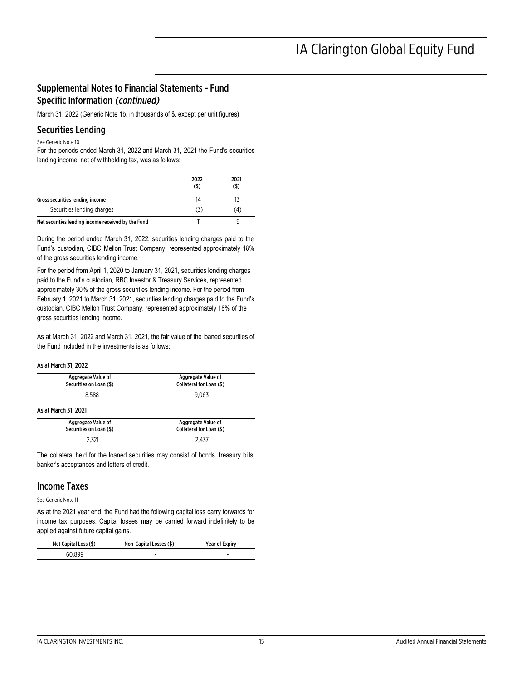### **Supplemental Notes to Financial Statements - Fund Specific Information (continued)**

**March 31, 2022 (Generic Note 1b, in thousands of \$, except per unit figures)** 

### **Securities Lending**

**See Generic Note 10** 

**For the periods ended March 31, 2022 and March 31, 2021 the Fund's securities lending income, net of withholding tax, was as follows:** 

|                                                    | 2022<br>(5) | 2021<br>(5) |
|----------------------------------------------------|-------------|-------------|
| Gross securities lending income                    | 14          |             |
| Securities lending charges                         | (5)         | (4)         |
| Net securities lending income received by the Fund |             |             |

**During the period ended March 31, 2022 , securities lending charges paid to the Fund's custodian, CIBC Mellon Trust Company, represented approximately 18% of the gross securities lending income.** 

**For the period from April 1, 2020 to January 31, 2021, securities lending charges paid to the Fund's custodian, RBC Investor & Treasury Services, represented approximately 30% of the gross securities lending income. For the period from February 1, 2021 to March 31, 2021, securities lending charges paid to the Fund's custodian, CIBC Mellon Trust Company, represented approximately 18% of the gross securities lending income.** 

**As at March 31, 2022 and March 31, 2021 , the fair value of the loaned securities of the Fund included in the investments is as follows:** 

#### **As at March 31, 2022**

| Aggregate Value of      | Aggregate Value of       |
|-------------------------|--------------------------|
| Securities on Loan (\$) | Collateral for Loan (\$) |
| 8.588                   | 9.063                    |

#### **As at March 31, 2021**

| Aggregate Value of      | Aggregate Value of       |  |
|-------------------------|--------------------------|--|
| Securities on Loan (\$) | Collateral for Loan (\$) |  |
|                         | 2.437                    |  |

**The collateral held for the loaned securities may consist of bonds, treasury bills, banker's acceptances and letters of credit.** 

### **Income Taxes**

**See Generic Note 11** 

**As at the 2021 year end, the Fund had the following capital loss carry forwards for income tax purposes. Capital losses may be carried forward indefinitely to be applied against future capital gains.** 

| Net Capital Loss (\$) | Non-Capital Losses (\$) | <b>Year of Expiry</b> |
|-----------------------|-------------------------|-----------------------|
| 60.899                | -                       | -                     |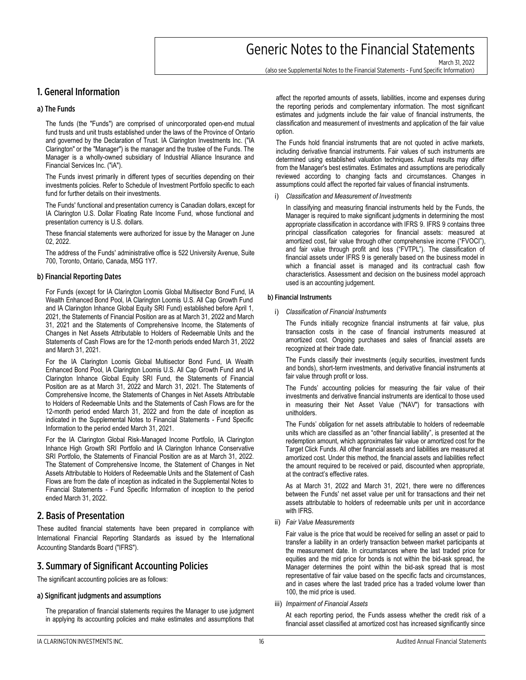**March 31, 2022** 

**(also see Supplemental Notes to the Financial Statements - Fund Specific Information)** 

### **1. General Information**

#### **a) The Funds**

**The funds (the "Funds") are comprised of unincorporated open-end mutual fund trusts and unit trusts established under the laws of the Province of Ontario and governed by the Declaration of Trust. IA Clarington Investments Inc. ("IA Clarington" or the "Manager") is the manager and the trustee of the Funds. The Manager is a wholly-owned subsidiary of Industrial Alliance Insurance and Financial Services Inc. ("iA").** 

**The Funds invest primarily in different types of securities depending on their investments policies. Refer to Schedule of Investment Portfolio specific to each fund for further details on their investments.** 

**The Funds' functional and presentation currency is Canadian dollars, except for IA Clarington U.S. Dollar Floating Rate Income Fund, whose functional and presentation currency is U.S. dollars.** 

**These financial statements were authorized for issue by the Manager on June 02, 2022.** 

**The address of the Funds' administrative office is 522 University Avenue, Suite 700, Toronto, Ontario, Canada, M5G 1Y7.** 

#### **b) Financial Reporting Dates**

**For Funds (except for IA Clarington Loomis Global Multisector Bond Fund, IA Wealth Enhanced Bond Pool, IA Clarington Loomis U.S. All Cap Growth Fund and IA Clarington Inhance Global Equity SRI Fund) established before April 1, 2021, the Statements of Financial Position are as at March 31, 2022 and March 31, 2021 and the Statements of Comprehensive Income, the Statements of Changes in Net Assets Attributable to Holders of Redeemable Units and the Statements of Cash Flows are for the 12-month periods ended March 31, 2022 and March 31, 2021.** 

**For the IA Clarington Loomis Global Multisector Bond Fund, IA Wealth Enhanced Bond Pool, IA Clarington Loomis U.S. All Cap Growth Fund and IA Clarington Inhance Global Equity SRI Fund, the Statements of Financial Position are as at March 31, 2022 and March 31, 2021. The Statements of Comprehensive Income, the Statements of Changes in Net Assets Attributable to Holders of Redeemable Units and the Statements of Cash Flows are for the 12-month period ended March 31, 2022 and from the date of inception as indicated in the Supplemental Notes to Financial Statements - Fund Specific Information to the period ended March 31, 2021.** 

**For the IA Clarington Global Risk-Managed Income Portfolio, IA Clarington Inhance High Growth SRI Portfolio and IA Clarington Inhance Conservative SRI Portfolio, the Statements of Financial Position are as at March 31, 2022. The Statement of Comprehensive Income, the Statement of Changes in Net Assets Attributable to Holders of Redeemable Units and the Statement of Cash Flows are from the date of inception as indicated in the Supplemental Notes to Financial Statements - Fund Specific Information of inception to the period ended March 31, 2022.** 

### **2. Basis of Presentation**

**These audited financial statements have been prepared in compliance with International Financial Reporting Standards as issued by the International Accounting Standards Board ("IFRS").** 

### **3. Summary of Significant Accounting Policies**

**The significant accounting policies are as follows:** 

#### **a) Significant judgments and assumptions**

**The preparation of financial statements requires the Manager to use judgment in applying its accounting policies and make estimates and assumptions that**  **affect the reported amounts of assets, liabilities, income and expenses during the reporting periods and complementary information. The most significant estimates and judgments include the fair value of financial instruments, the classification and measurement of investments and application of the fair value option.** 

**The Funds hold financial instruments that are not quoted in active markets, including derivative financial instruments. Fair values of such instruments are determined using established valuation techniques. Actual results may differ from the Manager's best estimates. Estimates and assumptions are periodically reviewed according to changing facts and circumstances. Changes in assumptions could affect the reported fair values of financial instruments.** 

**i) Classification and Measurement of Investments** 

**In classifying and measuring financial instruments held by the Funds, the Manager is required to make significant judgments in determining the most appropriate classification in accordance with IFRS 9. IFRS 9 contains three principal classification categories for financial assets: measured at amortized cost, fair value through other comprehensive income ("FVOCI"), and fair value through profit and loss ("FVTPL"). The classification of financial assets under IFRS 9 is generally based on the business model in which a financial asset is managed and its contractual cash flow characteristics. Assessment and decision on the business model approach used is an accounting judgement.** 

#### **b) Financial Instruments**

**i) Classification of Financial Instruments** 

**The Funds initially recognize financial instruments at fair value, plus transaction costs in the case of financial instruments measured at amortized cost. Ongoing purchases and sales of financial assets are recognized at their trade date.** 

**The Funds classify their investments (equity securities, investment funds and bonds), short-term investments, and derivative financial instruments at fair value through profit or loss.** 

**The Funds' accounting policies for measuring the fair value of their investments and derivative financial instruments are identical to those used in measuring their Net Asset Value ("NAV") for transactions with unitholders.** 

**The Funds' obligation for net assets attributable to holders of redeemable units which are classified as an "other financial liability", is presented at the redemption amount, which approximates fair value or amortized cost for the Target Click Funds. All other financial assets and liabilities are measured at amortized cost. Under this method, the financial assets and liabilities reflect the amount required to be received or paid, discounted when appropriate, at the contract's effective rates.** 

**As at March 31, 2022 and March 31, 2021, there were no differences between the Funds' net asset value per unit for transactions and their net assets attributable to holders of redeemable units per unit in accordance with IFRS.** 

**ii) Fair Value Measurements** 

**Fair value is the price that would be received for selling an asset or paid to transfer a liability in an orderly transaction between market participants at the measurement date. In circumstances where the last traded price for equities and the mid price for bonds is not within the bid-ask spread, the Manager determines the point within the bid-ask spread that is most representative of fair value based on the specific facts and circumstances, and in cases where the last traded price has a traded volume lower than 100, the mid price is used.** 

#### **iii) Impairment of Financial Assets**

**At each reporting period, the Funds assess whether the credit risk of a financial asset classified at amortized cost has increased significantly since**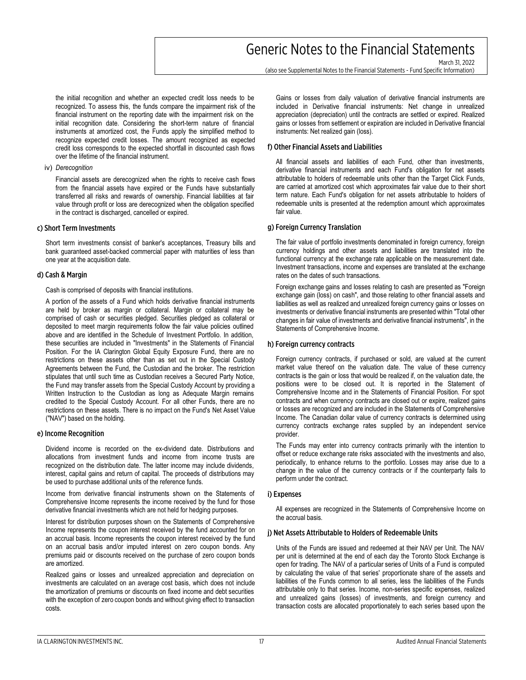**March 31, 2022** 

**(also see Supplemental Notes to the Financial Statements - Fund Specific Information)** 

**the initial recognition and whether an expected credit loss needs to be recognized. To assess this, the funds compare the impairment risk of the financial instrument on the reporting date with the impairment risk on the initial recognition date. Considering the short-term nature of financial instruments at amortized cost, the Funds apply the simplified method to recognize expected credit losses. The amount recognized as expected credit loss corresponds to the expected shortfall in discounted cash flows over the lifetime of the financial instrument.** 

**iv) Derecognition** 

**Financial assets are derecognized when the rights to receive cash flows from the financial assets have expired or the Funds have substantially transferred all risks and rewards of ownership. Financial liabilities at fair value through profit or loss are derecognized when the obligation specified in the contract is discharged, cancelled or expired.** 

#### **c) Short Term Investments**

**Short term investments consist of banker's acceptances, Treasury bills and bank guaranteed asset-backed commercial paper with maturities of less than one year at the acquisition date.** 

#### **d) Cash & Margin**

**Cash is comprised of deposits with financial institutions.** 

**A portion of the assets of a Fund which holds derivative financial instruments are held by broker as margin or collateral. Margin or collateral may be comprised of cash or securities pledged. Securities pledged as collateral or deposited to meet margin requirements follow the fair value policies outlined above and are identified in the Schedule of Investment Portfolio. In addition, these securities are included in "Investments" in the Statements of Financial Position. For the IA Clarington Global Equity Exposure Fund, there are no restrictions on these assets other than as set out in the Special Custody Agreements between the Fund, the Custodian and the broker. The restriction stipulates that until such time as Custodian receives a Secured Party Notice, the Fund may transfer assets from the Special Custody Account by providing a Written Instruction to the Custodian as long as Adequate Margin remains credited to the Special Custody Account. For all other Funds, there are no restrictions on these assets. There is no impact on the Fund's Net Asset Value ("NAV") based on the holding.** 

#### **e) Income Recognition**

**Dividend income is recorded on the ex-dividend date. Distributions and allocations from investment funds and income from income trusts are recognized on the distribution date. The latter income may include dividends, interest, capital gains and return of capital. The proceeds of distributions may be used to purchase additional units of the reference funds.** 

**Income from derivative financial instruments shown on the Statements of Comprehensive Income represents the income received by the fund for those derivative financial investments which are not held for hedging purposes.** 

**Interest for distribution purposes shown on the Statements of Comprehensive Income represents the coupon interest received by the fund accounted for on an accrual basis. Income represents the coupon interest received by the fund on an accrual basis and/or imputed interest on zero coupon bonds. Any premiums paid or discounts received on the purchase of zero coupon bonds are amortized.** 

**Realized gains or losses and unrealized appreciation and depreciation on investments are calculated on an average cost basis, which does not include the amortization of premiums or discounts on fixed income and debt securities with the exception of zero coupon bonds and without giving effect to transaction costs.** 

**Gains or losses from daily valuation of derivative financial instruments are included in Derivative financial instruments: Net change in unrealized appreciation (depreciation) until the contracts are settled or expired. Realized gains or losses from settlement or expiration are included in Derivative financial instruments: Net realized gain (loss).** 

#### **f) Other Financial Assets and Liabilities**

**All financial assets and liabilities of each Fund, other than investments, derivative financial instruments and each Fund's obligation for net assets attributable to holders of redeemable units other than the Target Click Funds, are carried at amortized cost which approximates fair value due to their short term nature. Each Fund's obligation for net assets attributable to holders of redeemable units is presented at the redemption amount which approximates fair value.** 

#### **g) Foreign Currency Translation**

**The fair value of portfolio investments denominated in foreign currency, foreign currency holdings and other assets and liabilities are translated into the functional currency at the exchange rate applicable on the measurement date. Investment transactions, income and expenses are translated at the exchange rates on the dates of such transactions.** 

**Foreign exchange gains and losses relating to cash are presented as "Foreign exchange gain (loss) on cash", and those relating to other financial assets and liabilities as well as realized and unrealized foreign currency gains or losses on investments or derivative financial instruments are presented within "Total other changes in fair value of investments and derivative financial instruments", in the Statements of Comprehensive Income.** 

#### **h) Foreign currency contracts**

**Foreign currency contracts, if purchased or sold, are valued at the current market value thereof on the valuation date. The value of these currency contracts is the gain or loss that would be realized if, on the valuation date, the positions were to be closed out. It is reported in the Statement of Comprehensive Income and in the Statements of Financial Position. For spot contracts and when currency contracts are closed out or expire, realized gains or losses are recognized and are included in the Statements of Comprehensive Income. The Canadian dollar value of currency contracts is determined using currency contracts exchange rates supplied by an independent service provider.** 

**The Funds may enter into currency contracts primarily with the intention to offset or reduce exchange rate risks associated with the investments and also, periodically, to enhance returns to the portfolio. Losses may arise due to a change in the value of the currency contracts or if the counterparty fails to perform under the contract.** 

#### **i) Expenses**

**All expenses are recognized in the Statements of Comprehensive Income on the accrual basis.** 

#### **j) Net Assets Attributable to Holders of Redeemable Units**

**Units of the Funds are issued and redeemed at their NAV per Unit. The NAV per unit is determined at the end of each day the Toronto Stock Exchange is open for trading. The NAV of a particular series of Units of a Fund is computed by calculating the value of that series' proportionate share of the assets and liabilities of the Funds common to all series, less the liabilities of the Funds attributable only to that series. Income, non-series specific expenses, realized and unrealized gains (losses) of investments, and foreign currency and transaction costs are allocated proportionately to each series based upon the**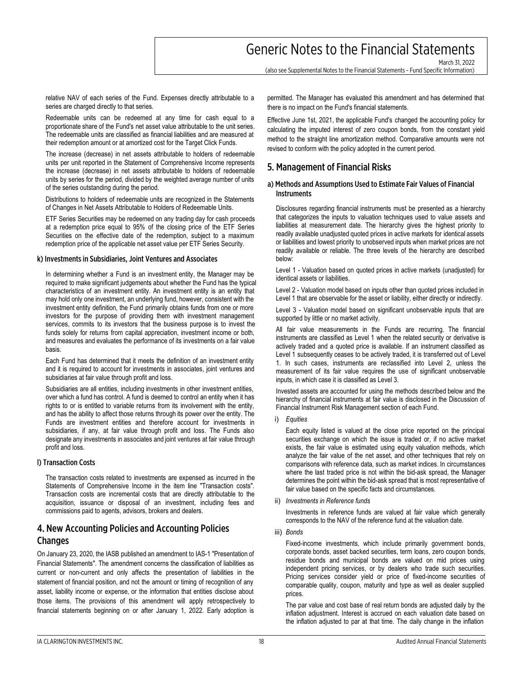**March 31, 2022** 

**(also see Supplemental Notes to the Financial Statements - Fund Specific Information)** 

**relative NAV of each series of the Fund. Expenses directly attributable to a series are charged directly to that series.** 

**Redeemable units can be redeemed at any time for cash equal to a proportionate share of the Fund's net asset value attributable to the unit series. The redeemable units are classified as financial liabilities and are measured at their redemption amount or at amortized cost for the Target Click Funds.** 

**The increase (decrease) in net assets attributable to holders of redeemable units per unit reported in the Statement of Comprehensive Income represents the increase (decrease) in net assets attributable to holders of redeemable units by series for the period, divided by the weighted average number of units of the series outstanding during the period.** 

**Distributions to holders of redeemable units are recognized in the Statements of Changes in Net Assets Attributable to Holders of Redeemable Units.** 

**ETF Series Securities may be redeemed on any trading day for cash proceeds at a redemption price equal to 95% of the closing price of the ETF Series Securities on the effective date of the redemption, subject to a maximum redemption price of the applicable net asset value per ETF Series Security.** 

#### **k) Investments in Subsidiaries, Joint Ventures and Associates**

**In determining whether a Fund is an investment entity, the Manager may be required to make significant judgements about whether the Fund has the typical characteristics of an investment entity. An investment entity is an entity that may hold only one investment, an underlying fund, however, consistent with the investment entity definition, the Fund primarily obtains funds from one or more investors for the purpose of providing them with investment management services, commits to its investors that the business purpose is to invest the funds solely for returns from capital appreciation, investment income or both, and measures and evaluates the performance of its investments on a fair value basis.** 

**Each Fund has determined that it meets the definition of an investment entity and it is required to account for investments in associates, joint ventures and subsidiaries at fair value through profit and loss.** 

**Subsidiaries are all entities, including investments in other investment entities, over which a fund has control. A fund is deemed to control an entity when it has rights to or is entitled to variable returns from its involvement with the entity, and has the ability to affect those returns through its power over the entity. The Funds are investment entities and therefore account for investments in subsidiaries, if any, at fair value through profit and loss. The Funds also designate any investments in associates and joint ventures at fair value through profit and loss.** 

#### **l) Transaction Costs**

**The transaction costs related to investments are expensed as incurred in the Statements of Comprehensive Income in the item line "Transaction costs". Transaction costs are incremental costs that are directly attributable to the acquisition, issuance or disposal of an investment, including fees and commissions paid to agents, advisors, brokers and dealers.** 

### **4. New Accounting Policies and Accounting Policies Changes**

**On January 23, 2020, the IASB published an amendment to IAS-1 "Presentation of Financial Statements". The amendment concerns the classification of liabilities as current or non-current and only affects the presentation of liabilities in the statement of financial position, and not the amount or timing of recognition of any asset, liability income or expense, or the information that entities disclose about those items. The provisions of this amendment will apply retrospectively to financial statements beginning on or after January 1, 2022. Early adoption is**  **permitted. The Manager has evaluated this amendment and has determined that there is no impact on the Fund's financial statements.** 

**Effective June 1st, 2021, the applicable Fund's changed the accounting policy for calculating the imputed interest of zero coupon bonds, from the constant yield method to the straight line amortization method. Comparative amounts were not revised to conform with the policy adopted in the current period.** 

### **5. Management of Financial Risks**

#### **a) Methods and Assumptions Used to Estimate Fair Values of Financial Instruments**

**Disclosures regarding financial instruments must be presented as a hierarchy that categorizes the inputs to valuation techniques used to value assets and liabilities at measurement date. The hierarchy gives the highest priority to readily available unadjusted quoted prices in active markets for identical assets or liabilities and lowest priority to unobserved inputs when market prices are not readily available or reliable. The three levels of the hierarchy are described below:** 

**Level 1 - Valuation based on quoted prices in active markets (unadjusted) for identical assets or liabilities.** 

**Level 2 - Valuation model based on inputs other than quoted prices included in Level 1 that are observable for the asset or liability, either directly or indirectly.** 

**Level 3 - Valuation model based on significant unobservable inputs that are supported by little or no market activity.** 

**All fair value measurements in the Funds are recurring. The financial instruments are classified as Level 1 when the related security or derivative is actively traded and a quoted price is available. If an instrument classified as Level 1 subsequently ceases to be actively traded, it is transferred out of Level 1. In such cases, instruments are reclassified into Level 2, unless the measurement of its fair value requires the use of significant unobservable inputs, in which case it is classified as Level 3.** 

**Invested assets are accounted for using the methods described below and the hierarchy of financial instruments at fair value is disclosed in the Discussion of Financial Instrument Risk Management section of each Fund.** 

**i) Equities** 

**Each equity listed is valued at the close price reported on the principal securities exchange on which the issue is traded or, if no active market exists, the fair value is estimated using equity valuation methods, which analyze the fair value of the net asset, and other techniques that rely on comparisons with reference data, such as market indices. In circumstances where the last traded price is not within the bid-ask spread, the Manager determines the point within the bid-ask spread that is most representative of fair value based on the specific facts and circumstances.** 

**ii) Investments in Reference funds** 

**Investments in reference funds are valued at fair value which generally corresponds to the NAV of the reference fund at the valuation date.** 

**iii) Bonds** 

**Fixed-income investments, which include primarily government bonds, corporate bonds, asset backed securities, term loans, zero coupon bonds, residue bonds and municipal bonds are valued on mid prices using independent pricing services, or by dealers who trade such securities. Pricing services consider yield or price of fixed-income securities of comparable quality, coupon, maturity and type as well as dealer supplied prices.** 

**The par value and cost base of real return bonds are adjusted daily by the inflation adjustment. Interest is accrued on each valuation date based on the inflation adjusted to par at that time. The daily change in the inflation**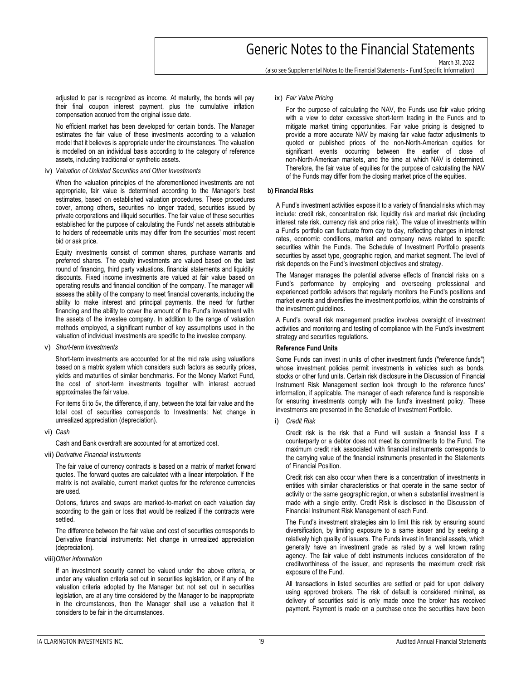**March 31, 2022** 

**(also see Supplemental Notes to the Financial Statements - Fund Specific Information)** 

**adjusted to par is recognized as income. At maturity, the bonds will pay their final coupon interest payment, plus the cumulative inflation compensation accrued from the original issue date.** 

**No efficient market has been developed for certain bonds. The Manager estimates the fair value of these investments according to a valuation model that it believes is appropriate under the circumstances. The valuation is modelled on an individual basis according to the category of reference assets, including traditional or synthetic assets.** 

#### **iv) Valuation of Unlisted Securities and Other Investments**

**When the valuation principles of the aforementioned investments are not appropriate, fair value is determined according to the Manager's best estimates, based on established valuation procedures. These procedures cover, among others, securities no longer traded, securities issued by private corporations and illiquid securities. The fair value of these securities established for the purpose of calculating the Funds' net assets attributable to holders of redeemable units may differ from the securities' most recent bid or ask price.** 

**Equity investments consist of common shares, purchase warrants and preferred shares. The equity investments are valued based on the last round of financing, third party valuations, financial statements and liquidity discounts. Fixed income investments are valued at fair value based on operating results and financial condition of the company. The manager will assess the ability of the company to meet financial covenants, including the ability to make interest and principal payments, the need for further financing and the ability to cover the amount of the Fund's investment with the assets of the investee company. In addition to the range of valuation methods employed, a significant number of key assumptions used in the valuation of individual investments are specific to the investee company.** 

**v) Short-term Investments** 

**Short-term investments are accounted for at the mid rate using valuations based on a matrix system which considers such factors as security prices, yields and maturities of similar benchmarks. For the Money Market Fund, the cost of short-term investments together with interest accrued approximates the fair value.** 

**For items 5i to 5v, the difference, if any, between the total fair value and the total cost of securities corresponds to Investments: Net change in unrealized appreciation (depreciation).** 

**vi) Cash** 

**Cash and Bank overdraft are accounted for at amortized cost.** 

**vii) Derivative Financial Instruments** 

**The fair value of currency contracts is based on a matrix of market forward quotes. The forward quotes are calculated with a linear interpolation. If the matrix is not available, current market quotes for the reference currencies are used.** 

**Options, futures and swaps are marked-to-market on each valuation day according to the gain or loss that would be realized if the contracts were settled.** 

**The difference between the fair value and cost of securities corresponds to Derivative financial instruments: Net change in unrealized appreciation (depreciation).** 

**viii)Other information** 

**If an investment security cannot be valued under the above criteria, or under any valuation criteria set out in securities legislation, or if any of the valuation criteria adopted by the Manager but not set out in securities legislation, are at any time considered by the Manager to be inappropriate in the circumstances, then the Manager shall use a valuation that it considers to be fair in the circumstances.** 

#### **ix) Fair Value Pricing**

**For the purpose of calculating the NAV, the Funds use fair value pricing with a view to deter excessive short-term trading in the Funds and to mitigate market timing opportunities. Fair value pricing is designed to provide a more accurate NAV by making fair value factor adjustments to quoted or published prices of the non-North-American equities for significant events occurring between the earlier of close of non-North-American markets, and the time at which NAV is determined. Therefore, the fair value of equities for the purpose of calculating the NAV of the Funds may differ from the closing market price of the equities.** 

#### **b) Financial Risks**

**A Fund's investment activities expose it to a variety of financial risks which may include: credit risk, concentration risk, liquidity risk and market risk (including interest rate risk, currency risk and price risk). The value of investments within a Fund's portfolio can fluctuate from day to day, reflecting changes in interest rates, economic conditions, market and company news related to specific securities within the Funds. The Schedule of Investment Portfolio presents securities by asset type, geographic region, and market segment. The level of risk depends on the Fund's investment objectives and strategy.** 

**The Manager manages the potential adverse effects of financial risks on a Fund's performance by employing and overseeing professional and experienced portfolio advisors that regularly monitors the Fund's positions and market events and diversifies the investment portfolios, within the constraints of the investment guidelines.** 

**A Fund's overall risk management practice involves oversight of investment activities and monitoring and testing of compliance with the Fund's investment strategy and securities regulations.** 

#### **Reference Fund Units**

**Some Funds can invest in units of other investment funds ("reference funds") whose investment policies permit investments in vehicles such as bonds, stocks or other fund units. Certain risk disclosure in the Discussion of Financial Instrument Risk Management section look through to the reference funds' information, if applicable. The manager of each reference fund is responsible for ensuring investments comply with the fund's investment policy. These investments are presented in the Schedule of Investment Portfolio.** 

**i) Credit Risk** 

**Credit risk is the risk that a Fund will sustain a financial loss if a counterparty or a debtor does not meet its commitments to the Fund. The maximum credit risk associated with financial instruments corresponds to the carrying value of the financial instruments presented in the Statements of Financial Position.** 

**Credit risk can also occur when there is a concentration of investments in entities with similar characteristics or that operate in the same sector of activity or the same geographic region, or when a substantial investment is made with a single entity. Credit Risk is disclosed in the Discussion of Financial Instrument Risk Management of each Fund.** 

**The Fund's investment strategies aim to limit this risk by ensuring sound diversification, by limiting exposure to a same issuer and by seeking a relatively high quality of issuers. The Funds invest in financial assets, which generally have an investment grade as rated by a well known rating agency. The fair value of debt instruments includes consideration of the creditworthiness of the issuer, and represents the maximum credit risk exposure of the Fund.** 

**All transactions in listed securities are settled or paid for upon delivery using approved brokers. The risk of default is considered minimal, as delivery of securities sold is only made once the broker has received payment. Payment is made on a purchase once the securities have been**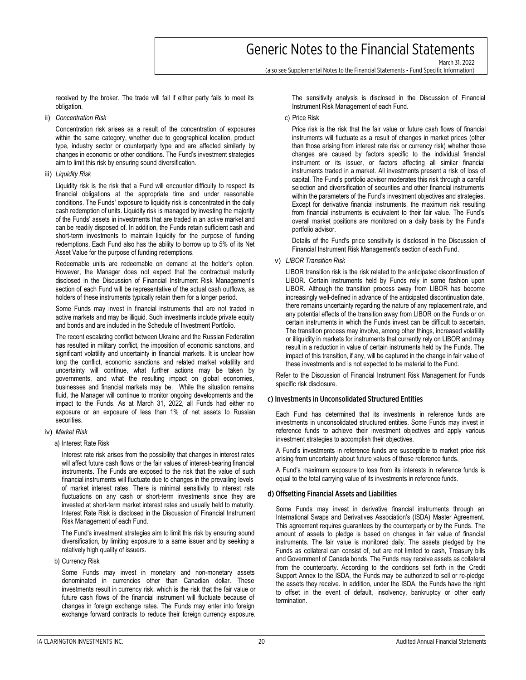**March 31, 2022** 

**(also see Supplemental Notes to the Financial Statements - Fund Specific Information)** 

**received by the broker. The trade will fail if either party fails to meet its obligation.** 

**ii) Concentration Risk** 

**Concentration risk arises as a result of the concentration of exposures within the same category, whether due to geographical location, product type, industry sector or counterparty type and are affected similarly by changes in economic or other conditions. The Fund's investment strategies aim to limit this risk by ensuring sound diversification.** 

**iii) Liquidity Risk** 

**Liquidity risk is the risk that a Fund will encounter difficulty to respect its financial obligations at the appropriate time and under reasonable conditions. The Funds' exposure to liquidity risk is concentrated in the daily cash redemption of units. Liquidity risk is managed by investing the majority of the Funds' assets in investments that are traded in an active market and can be readily disposed of. In addition, the Funds retain sufficient cash and short-term investments to maintain liquidity for the purpose of funding redemptions. Each Fund also has the ability to borrow up to 5% of its Net Asset Value for the purpose of funding redemptions.** 

**Redeemable units are redeemable on demand at the holder's option. However, the Manager does not expect that the contractual maturity disclosed in the Discussion of Financial Instrument Risk Management's section of each Fund will be representative of the actual cash outflows, as holders of these instruments typically retain them for a longer period.** 

**Some Funds may invest in financial instruments that are not traded in active markets and may be illiquid. Such investments include private equity and bonds and are included in the Schedule of Investment Portfolio.** 

**The recent escalating conflict between Ukraine and the Russian Federation has resulted in military conflict, the imposition of economic sanctions, and significant volatility and uncertainty in financial markets. It is unclear how long the conflict, economic sanctions and related market volatility and uncertainty will continue, what further actions may be taken by governments, and what the resulting impact on global economies, businesses and financial markets may be. While the situation remains fluid, the Manager will continue to monitor ongoing developments and the impact to the Funds. As at March 31, 2022, all Funds had either no exposure or an exposure of less than 1% of net assets to Russian securities.** 

- **iv) Market Risk** 
	- **a) Interest Rate Risk**

**Interest rate risk arises from the possibility that changes in interest rates will affect future cash flows or the fair values of interest-bearing financial instruments. The Funds are exposed to the risk that the value of such financial instruments will fluctuate due to changes in the prevailing levels of market interest rates. There is minimal sensitivity to interest rate fluctuations on any cash or short-term investments since they are invested at short-term market interest rates and usually held to maturity. Interest Rate Risk is disclosed in the Discussion of Financial Instrument Risk Management of each Fund.** 

**The Fund's investment strategies aim to limit this risk by ensuring sound diversification, by limiting exposure to a same issuer and by seeking a relatively high quality of issuers.** 

**b) Currency Risk** 

**Some Funds may invest in monetary and non-monetary assets denominated in currencies other than Canadian dollar. These investments result in currency risk, which is the risk that the fair value or future cash flows of the financial instrument will fluctuate because of changes in foreign exchange rates. The Funds may enter into foreign exchange forward contracts to reduce their foreign currency exposure.**  **The sensitivity analysis is disclosed in the Discussion of Financial Instrument Risk Management of each Fund.** 

**c) Price Risk** 

**Price risk is the risk that the fair value or future cash flows of financial instruments will fluctuate as a result of changes in market prices (other than those arising from interest rate risk or currency risk) whether those changes are caused by factors specific to the individual financial instrument or its issuer, or factors affecting all similar financial instruments traded in a market. All investments present a risk of loss of capital. The Fund's portfolio advisor moderates this risk through a careful selection and diversification of securities and other financial instruments within the parameters of the Fund's investment objectives and strategies. Except for derivative financial instruments, the maximum risk resulting from financial instruments is equivalent to their fair value. The Fund's overall market positions are monitored on a daily basis by the Fund's portfolio advisor.** 

**Details of the Fund's price sensitivity is disclosed in the Discussion of Financial Instrument Risk Management's section of each Fund.** 

**v) LIBOR Transition Risk** 

**LIBOR transition risk is the risk related to the anticipated discontinuation of LIBOR. Certain instruments held by Funds rely in some fashion upon LIBOR. Although the transition process away from LIBOR has become increasingly well-defined in advance of the anticipated discontinuation date, there remains uncertainty regarding the nature of any replacement rate, and any potential effects of the transition away from LIBOR on the Funds or on certain instruments in which the Funds invest can be difficult to ascertain. The transition process may involve, among other things, increased volatility or illiquidity in markets for instruments that currently rely on LIBOR and may result in a reduction in value of certain instruments held by the Funds. The impact of this transition, if any, will be captured in the change in fair value of these investments and is not expected to be material to the Fund.** 

**Refer to the Discussion of Financial Instrument Risk Management for Funds specific risk disclosure.** 

#### **c) Investments in Unconsolidated Structured Entities**

**Each Fund has determined that its investments in reference funds are investments in unconsolidated structured entities. Some Funds may invest in reference funds to achieve their investment objectives and apply various investment strategies to accomplish their objectives.** 

**A Fund's investments in reference funds are susceptible to market price risk arising from uncertainty about future values of those reference funds.** 

**A Fund's maximum exposure to loss from its interests in reference funds is equal to the total carrying value of its investments in reference funds.** 

#### **d) Offsetting Financial Assets and Liabilities**

**Some Funds may invest in derivative financial instruments through an International Swaps and Derivatives Association's (ISDA) Master Agreement. This agreement requires guarantees by the counterparty or by the Funds. The amount of assets to pledge is based on changes in fair value of financial instruments. The fair value is monitored daily. The assets pledged by the Funds as collateral can consist of, but are not limited to cash, Treasury bills and Government of Canada bonds. The Funds may receive assets as collateral from the counterparty. According to the conditions set forth in the Credit Support Annex to the ISDA, the Funds may be authorized to sell or re-pledge the assets they receive. In addition, under the ISDA, the Funds have the right to offset in the event of default, insolvency, bankruptcy or other early termination.**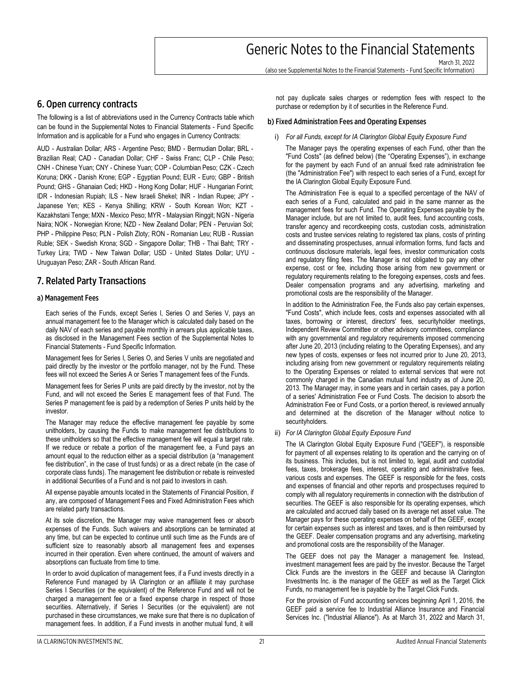**March 31, 2022** 

**(also see Supplemental Notes to the Financial Statements - Fund Specific Information)** 

### **6. Open currency contracts**

**The following is a list of abbreviations used in the Currency Contracts table which can be found in the Supplemental Notes to Financial Statements - Fund Specific Information and is applicable for a Fund who engages in Currency Contracts:** 

**AUD - Australian Dollar; ARS - Argentine Peso; BMD - Bermudian Dollar; BRL - Brazilian Real; CAD - Canadian Dollar; CHF - Swiss Franc; CLP - Chile Peso; CNH - Chinese Yuan; CNY - Chinese Yuan; COP - Columbian Peso; CZK - Czech Koruna; DKK - Danish Krone; EGP - Egyptian Pound; EUR - Euro; GBP - British Pound; GHS - Ghanaian Cedi; HKD - Hong Kong Dollar; HUF - Hungarian Forint; IDR - Indonesian Rupiah; ILS - New Israeli Shekel; INR - Indian Rupee; JPY - Japanese Yen; KES - Kenya Shilling; KRW - South Korean Won; KZT - Kazakhstani Tenge; MXN - Mexico Peso; MYR - Malaysian Ringgit; NGN - Nigeria Naira; NOK - Norwegian Krone; NZD - New Zealand Dollar; PEN - Peruvian Sol; PHP - Philippine Peso; PLN - Polish Zloty; RON - Romanian Leu; RUB - Russian Ruble; SEK - Swedish Krona; SGD - Singapore Dollar; THB - Thai Baht; TRY - Turkey Lira; TWD - New Taiwan Dollar; USD - United States Dollar; UYU - Uruguayan Peso; ZAR - South African Rand.** 

### **7. Related Party Transactions**

#### **a) Management Fees**

**Each series of the Funds, except Series I, Series O and Series V, pays an annual management fee to the Manager which is calculated daily based on the daily NAV of each series and payable monthly in arrears plus applicable taxes, as disclosed in the Management Fees section of the Supplemental Notes to Financial Statements - Fund Specific Information.** 

**Management fees for Series I, Series O, and Series V units are negotiated and paid directly by the investor or the portfolio manager, not by the Fund. These fees will not exceed the Series A or Series T management fees of the Funds.** 

**Management fees for Series P units are paid directly by the investor, not by the Fund, and will not exceed the Series E management fees of that Fund. The Series P management fee is paid by a redemption of Series P units held by the investor.** 

**The Manager may reduce the effective management fee payable by some unitholders, by causing the Funds to make management fee distributions to these unitholders so that the effective management fee will equal a target rate. If we reduce or rebate a portion of the management fee, a Fund pays an amount equal to the reduction either as a special distribution (a "management fee distribution", in the case of trust funds) or as a direct rebate (in the case of corporate class funds). The management fee distribution or rebate is reinvested in additional Securities of a Fund and is not paid to investors in cash.** 

**All expense payable amounts located in the Statements of Financial Position, if any, are composed of Management Fees and Fixed Administration Fees which are related party transactions.** 

**At its sole discretion, the Manager may waive management fees or absorb expenses of the Funds. Such waivers and absorptions can be terminated at any time, but can be expected to continue until such time as the Funds are of sufficient size to reasonably absorb all management fees and expenses incurred in their operation. Even where continued, the amount of waivers and absorptions can fluctuate from time to time.** 

**In order to avoid duplication of management fees, if a Fund invests directly in a Reference Fund managed by IA Clarington or an affiliate it may purchase Series I Securities (or the equivalent) of the Reference Fund and will not be charged a management fee or a fixed expense charge in respect of those securities. Alternatively, if Series I Securities (or the equivalent) are not purchased in these circumstances, we make sure that there is no duplication of management fees. In addition, if a Fund invests in another mutual fund, it will** 

**not pay duplicate sales charges or redemption fees with respect to the purchase or redemption by it of securities in the Reference Fund.** 

#### **b) Fixed Administration Fees and Operating Expenses**

#### **i) For all Funds, except for IA Clarington Global Equity Exposure Fund**

**The Manager pays the operating expenses of each Fund, other than the "Fund Costs" (as defined below) (the "Operating Expenses"), in exchange for the payment by each Fund of an annual fixed rate administration fee (the "Administration Fee") with respect to each series of a Fund, except for the IA Clarington Global Equity Exposure Fund.** 

**The Administration Fee is equal to a specified percentage of the NAV of each series of a Fund, calculated and paid in the same manner as the management fees for such Fund. The Operating Expenses payable by the Manager include, but are not limited to, audit fees, fund accounting costs, transfer agency and recordkeeping costs, custodian costs, administration costs and trustee services relating to registered tax plans, costs of printing and disseminating prospectuses, annual information forms, fund facts and continuous disclosure materials, legal fees, investor communication costs and regulatory filing fees. The Manager is not obligated to pay any other expense, cost or fee, including those arising from new government or regulatory requirements relating to the foregoing expenses, costs and fees. Dealer compensation programs and any advertising, marketing and promotional costs are the responsibility of the Manager.** 

**In addition to the Administration Fee, the Funds also pay certain expenses, "Fund Costs", which include fees, costs and expenses associated with all taxes, borrowing or interest, directors' fees, securityholder meetings, Independent Review Committee or other advisory committees, compliance with any governmental and regulatory requirements imposed commencing after June 20, 2013 (including relating to the Operating Expenses), and any new types of costs, expenses or fees not incurred prior to June 20, 2013, including arising from new government or regulatory requirements relating to the Operating Expenses or related to external services that were not commonly charged in the Canadian mutual fund industry as of June 20, 2013. The Manager may, in some years and in certain cases, pay a portion of a series' Administration Fee or Fund Costs. The decision to absorb the Administration Fee or Fund Costs, or a portion thereof, is reviewed annually and determined at the discretion of the Manager without notice to securityholders.** 

**ii) For IA Clarington Global Equity Exposure Fund** 

**The IA Clarington Global Equity Exposure Fund ("GEEF"), is responsible for payment of all expenses relating to its operation and the carrying on of its business. This includes, but is not limited to, legal, audit and custodial fees, taxes, brokerage fees, interest, operating and administrative fees, various costs and expenses. The GEEF is responsible for the fees, costs and expenses of financial and other reports and prospectuses required to comply with all regulatory requirements in connection with the distribution of securities. The GEEF is also responsible for its operating expenses, which are calculated and accrued daily based on its average net asset value. The Manager pays for these operating expenses on behalf of the GEEF, except for certain expenses such as interest and taxes, and is then reimbursed by the GEEF. Dealer compensation programs and any advertising, marketing and promotional costs are the responsibility of the Manager.** 

**The GEEF does not pay the Manager a management fee. Instead, investment management fees are paid by the investor. Because the Target Click Funds are the investors in the GEEF and because IA Clarington Investments Inc. is the manager of the GEEF as well as the Target Click Funds, no management fee is payable by the Target Click Funds.** 

**For the provision of Fund accounting services beginning April 1, 2016, the GEEF paid a service fee to Industrial Alliance Insurance and Financial Services Inc. ("Industrial Alliance"). As at March 31, 2022 and March 31,**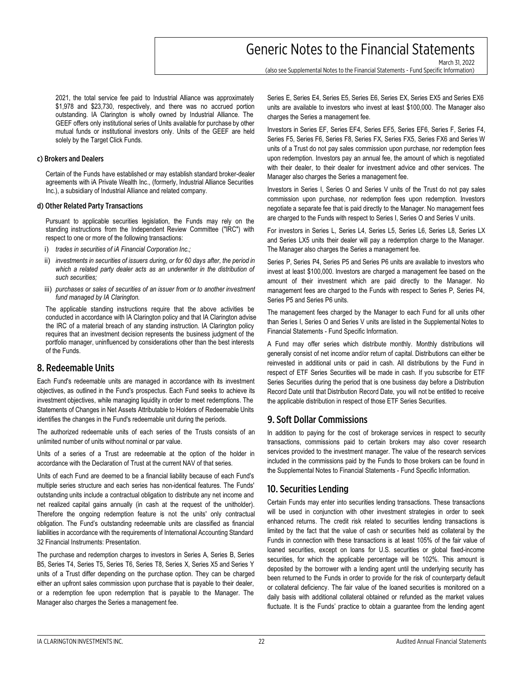**March 31, 2022** 

**(also see Supplemental Notes to the Financial Statements - Fund Specific Information)** 

**2021, the total service fee paid to Industrial Alliance was approximately \$1,978 and \$23,730, respectively, and there was no accrued portion outstanding. IA Clarington is wholly owned by Industrial Alliance. The GEEF offers only institutional series of Units available for purchase by other mutual funds or institutional investors only. Units of the GEEF are held solely by the Target Click Funds.** 

#### **c) Brokers and Dealers**

**Certain of the Funds have established or may establish standard broker-dealer agreements with iA Private Wealth Inc., (formerly, Industrial Alliance Securities Inc.), a subsidiary of Industrial Alliance and related company.** 

#### **d) Other Related Party Transactions**

**Pursuant to applicable securities legislation, the Funds may rely on the standing instructions from the Independent Review Committee ("IRC") with respect to one or more of the following transactions:** 

- **i) trades in securities of iA Financial Corporation Inc.;**
- **ii) investments in securities of issuers during, or for 60 days after, the period in which a related party dealer acts as an underwriter in the distribution of such securities;**
- **iii) purchases or sales of securities of an issuer from or to another investment fund managed by IA Clarington.**

**The applicable standing instructions require that the above activities be conducted in accordance with IA Clarington policy and that IA Clarington advise the IRC of a material breach of any standing instruction. IA Clarington policy requires that an investment decision represents the business judgment of the portfolio manager, uninfluenced by considerations other than the best interests of the Funds.** 

### **8. Redeemable Units**

**Each Fund's redeemable units are managed in accordance with its investment objectives, as outlined in the Fund's prospectus. Each Fund seeks to achieve its investment objectives, while managing liquidity in order to meet redemptions. The Statements of Changes in Net Assets Attributable to Holders of Redeemable Units identifies the changes in the Fund's redeemable unit during the periods.** 

**The authorized redeemable units of each series of the Trusts consists of an unlimited number of units without nominal or par value.** 

**Units of a series of a Trust are redeemable at the option of the holder in accordance with the Declaration of Trust at the current NAV of that series.** 

**Units of each Fund are deemed to be a financial liability because of each Fund's multiple series structure and each series has non-identical features. The Funds' outstanding units include a contractual obligation to distribute any net income and net realized capital gains annually (in cash at the request of the unitholder). Therefore the ongoing redemption feature is not the units' only contractual obligation. The Fund's outstanding redeemable units are classified as financial liabilities in accordance with the requirements of International Accounting Standard 32 Financial Instruments: Presentation.** 

**The purchase and redemption charges to investors in Series A, Series B, Series B5, Series T4, Series T5, Series T6, Series T8, Series X, Series X5 and Series Y units of a Trust differ depending on the purchase option. They can be charged either an upfront sales commission upon purchase that is payable to their dealer, or a redemption fee upon redemption that is payable to the Manager. The Manager also charges the Series a management fee.** 

**Series E, Series E4, Series E5, Series E6, Series EX, Series EX5 and Series EX6 units are available to investors who invest at least \$100,000. The Manager also charges the Series a management fee.** 

**Investors in Series EF, Series EF4, Series EF5, Series EF6, Series F, Series F4, Series F5, Series F6, Series F8, Series FX, Series FX5, Series FX6 and Series W units of a Trust do not pay sales commission upon purchase, nor redemption fees upon redemption. Investors pay an annual fee, the amount of which is negotiated with their dealer, to their dealer for investment advice and other services. The Manager also charges the Series a management fee.** 

**Investors in Series I, Series O and Series V units of the Trust do not pay sales commission upon purchase, nor redemption fees upon redemption. Investors negotiate a separate fee that is paid directly to the Manager. No management fees are charged to the Funds with respect to Series I, Series O and Series V units.** 

**For investors in Series L, Series L4, Series L5, Series L6, Series L8, Series LX and Series LX5 units their dealer will pay a redemption charge to the Manager. The Manager also charges the Series a management fee.** 

**Series P, Series P4, Series P5 and Series P6 units are available to investors who invest at least \$100,000. Investors are charged a management fee based on the amount of their investment which are paid directly to the Manager. No management fees are charged to the Funds with respect to Series P, Series P4, Series P5 and Series P6 units.** 

**The management fees charged by the Manager to each Fund for all units other than Series I, Series O and Series V units are listed in the Supplemental Notes to Financial Statements - Fund Specific Information.** 

**A Fund may offer series which distribute monthly. Monthly distributions will generally consist of net income and/or return of capital. Distributions can either be reinvested in additional units or paid in cash. All distributions by the Fund in respect of ETF Series Securities will be made in cash. If you subscribe for ETF Series Securities during the period that is one business day before a Distribution Record Date until that Distribution Record Date, you will not be entitled to receive the applicable distribution in respect of those ETF Series Securities.** 

### **9. Soft Dollar Commissions**

**In addition to paying for the cost of brokerage services in respect to security transactions, commissions paid to certain brokers may also cover research services provided to the investment manager. The value of the research services included in the commissions paid by the Funds to those brokers can be found in the Supplemental Notes to Financial Statements - Fund Specific Information.** 

### **10. Securities Lending**

**Certain Funds may enter into securities lending transactions. These transactions will be used in conjunction with other investment strategies in order to seek enhanced returns. The credit risk related to securities lending transactions is limited by the fact that the value of cash or securities held as collateral by the Funds in connection with these transactions is at least 105% of the fair value of loaned securities, except on loans for U.S. securities or global fixed-income securities, for which the applicable percentage will be 102%. This amount is deposited by the borrower with a lending agent until the underlying security has been returned to the Funds in order to provide for the risk of counterparty default or collateral deficiency. The fair value of the loaned securities is monitored on a daily basis with additional collateral obtained or refunded as the market values fluctuate. It is the Funds' practice to obtain a guarantee from the lending agent**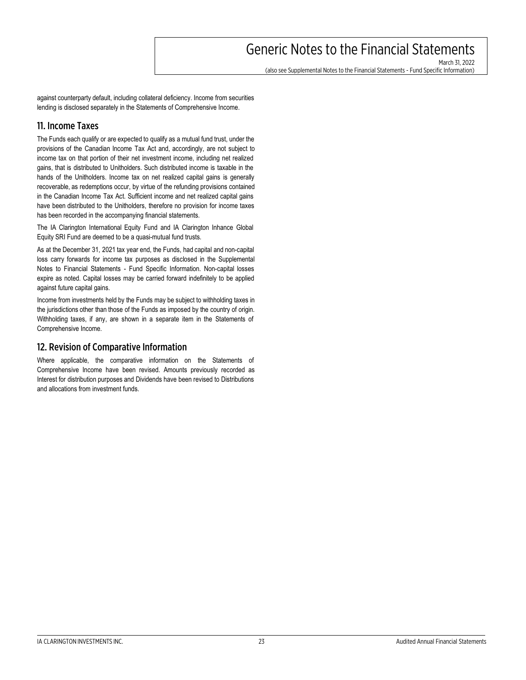**March 31, 2022 (also see Supplemental Notes to the Financial Statements - Fund Specific Information)** 

**against counterparty default, including collateral deficiency. Income from securities lending is disclosed separately in the Statements of Comprehensive Income.** 

### **11. Income Taxes**

**The Funds each qualify or are expected to qualify as a mutual fund trust, under the provisions of the Canadian Income Tax Act and, accordingly, are not subject to income tax on that portion of their net investment income, including net realized gains, that is distributed to Unitholders. Such distributed income is taxable in the hands of the Unitholders. Income tax on net realized capital gains is generally recoverable, as redemptions occur, by virtue of the refunding provisions contained in the Canadian Income Tax Act. Sufficient income and net realized capital gains have been distributed to the Unitholders, therefore no provision for income taxes has been recorded in the accompanying financial statements.** 

**The IA Clarington International Equity Fund and IA Clarington Inhance Global Equity SRI Fund are deemed to be a quasi-mutual fund trusts.** 

**As at the December 31, 2021 tax year end, the Funds, had capital and non-capital loss carry forwards for income tax purposes as disclosed in the Supplemental Notes to Financial Statements - Fund Specific Information. Non-capital losses expire as noted. Capital losses may be carried forward indefinitely to be applied against future capital gains.** 

**Income from investments held by the Funds may be subject to withholding taxes in the jurisdictions other than those of the Funds as imposed by the country of origin. Withholding taxes, if any, are shown in a separate item in the Statements of Comprehensive Income.** 

### **12. Revision of Comparative Information**

**Where applicable, the comparative information on the Statements of Comprehensive Income have been revised. Amounts previously recorded as Interest for distribution purposes and Dividends have been revised to Distributions and allocations from investment funds.**